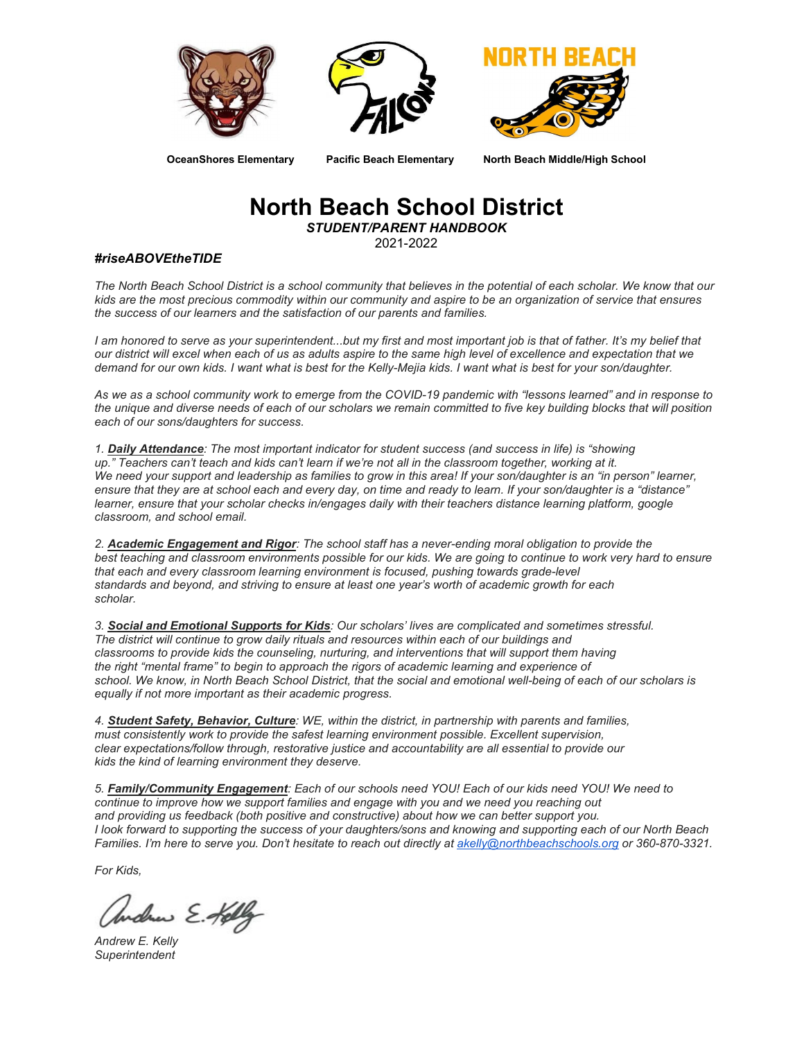





**OceanShores Elementary Pacific Beach Elementary North Beach Middle/High School**

# **North Beach School District**

*STUDENT/PARENT HANDBOOK*

2021-2022

#### *#riseABOVEtheTIDE*

*The North Beach School District is a school community that believes in the potential of each scholar. We know that our kids are the most precious commodity within our community and aspire to be an organization of service that ensures the success of our learners and the satisfaction of our parents and families.*

*I am honored to serve as your superintendent...but my first and most important job is that of father. It's my belief that our district will excel when each of us as adults aspire to the same high level of excellence and expectation that we demand for our own kids. I want what is best for the Kelly-Mejia kids. I want what is best for your son/daughter.*

*As we as a school community work to emerge from the COVID-19 pandemic with "lessons learned" and in response to the unique and diverse needs of each of our scholars we remain committed to five key building blocks that will position each of our sons/daughters for success.*

*1. Daily Attendance: The most important indicator for student success (and success in life) is "showing up." Teachers can't teach and kids can't learn if we're not all in the classroom together, working at it.* We need your support and leadership as families to grow in this area! If your son/daughter is an "in person" learner, *ensure that they are at school each and every day, on time and ready to learn. If your son/daughter is a "distance" learner, ensure that your scholar checks in/engages daily with their teachers distance learning platform, google classroom, and school email.*

*2. Academic Engagement and Rigor: The school staff has a never-ending moral obligation to provide the best teaching and classroom environments possible for our kids. We are going to continue to work very hard to ensure that each and every classroom learning environment is focused, pushing towards grade-level standards and beyond, and striving to ensure at least one year's worth of academic growth for each scholar.*

*3. Social and Emotional Supports for Kids: Our scholars' lives are complicated and sometimes stressful. The district will continue to grow daily rituals and resources within each of our buildings and classrooms to provide kids the counseling, nurturing, and interventions that will support them having the right "mental frame" to begin to approach the rigors of academic learning and experience of school. We know, in North Beach School District, that the social and emotional well-being of each of our scholars is equally if not more important as their academic progress.*

*4. Student Safety, Behavior, Culture: WE, within the district, in partnership with parents and families, must consistently work to provide the safest learning environment possible. Excellent supervision, clear expectations/follow through, restorative justice and accountability are all essential to provide our kids the kind of learning environment they deserve.*

*5. Family/Community Engagement: Each of our schools need YOU! Each of our kids need YOU! We need to continue to improve how we support families and engage with you and we need you reaching out and providing us feedback (both positive and constructive) about how we can better support you. I look forward to supporting the success of your daughters/sons and knowing and supporting each of our North Beach Families. I'm here to serve you. Don't hesitate to reach out directly at [akelly@northbeachschools.org](about:blank) or 360-870-3321.*

*For Kids,*

due E. Kelly

*Andrew E. Kelly Superintendent*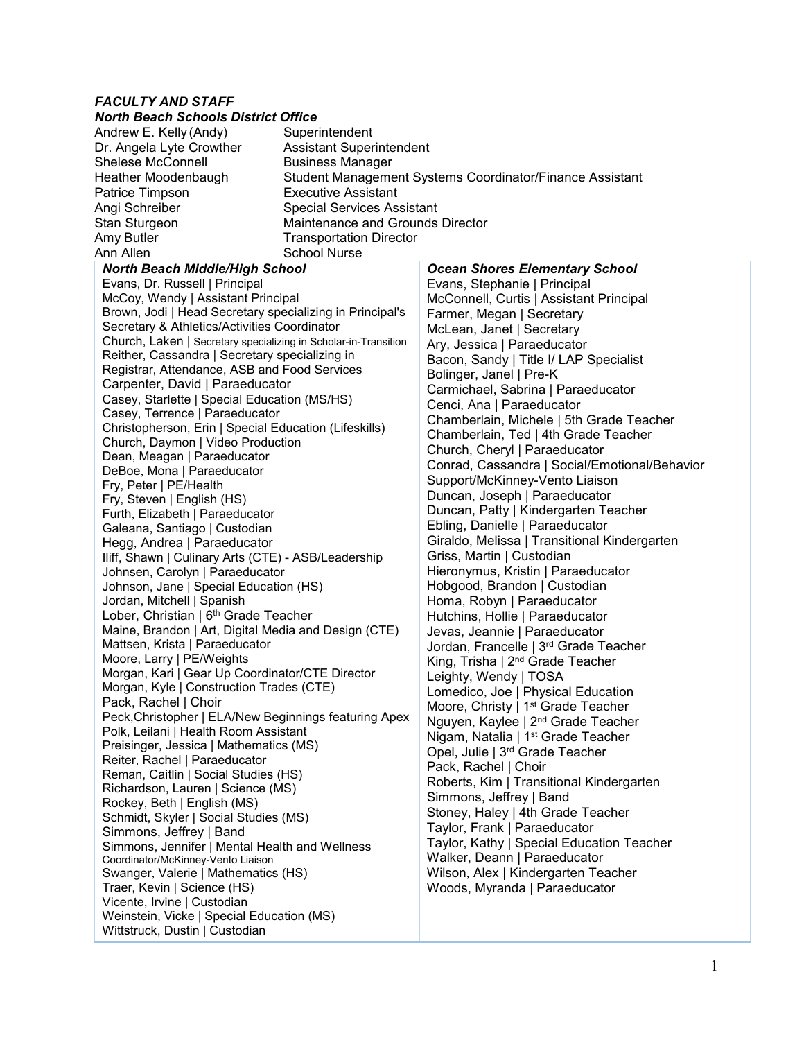### *FACULTY AND STAFF*

#### *North Beach Schools District Office*

| Andrew E. Kelly (Andy)                | Superintendent                                           |                                       |  |
|---------------------------------------|----------------------------------------------------------|---------------------------------------|--|
| Dr. Angela Lyte Crowther              | <b>Assistant Superintendent</b>                          |                                       |  |
| Shelese McConnell                     | <b>Business Manager</b>                                  |                                       |  |
| Heather Moodenbaugh                   | Student Management Systems Coordinator/Finance Assistant |                                       |  |
| Patrice Timpson                       | <b>Executive Assistant</b>                               |                                       |  |
| Angi Schreiber                        | <b>Special Services Assistant</b>                        |                                       |  |
| Stan Sturgeon                         | Maintenance and Grounds Director                         |                                       |  |
| Amy Butler                            | <b>Transportation Director</b>                           |                                       |  |
| Ann Allen                             | <b>School Nurse</b>                                      |                                       |  |
| <b>North Beach Middle/High School</b> |                                                          | <b>Ocean Shores Elementary School</b> |  |

#### Evans, Dr. Russell | Principal McCoy, Wendy | Assistant Principal Brown, Jodi | Head Secretary specializing in Principal's Secretary & Athletics/Activities Coordinator Church, Laken | Secretary specializing in Scholar-in-Transition Reither, Cassandra | Secretary specializing in Registrar, Attendance, ASB and Food Services Carpenter, David | Paraeducator Casey, Starlette | Special Education (MS/HS) Casey, Terrence | Paraeducator Christopherson, Erin | Special Education (Lifeskills) Church, Daymon | Video Production Dean, Meagan | Paraeducator DeBoe, Mona | Paraeducator Fry, Peter | PE/Health Fry, Steven | English (HS) Furth, Elizabeth | Paraeducator Galeana, Santiago | Custodian Hegg, Andrea | Paraeducator Iliff, Shawn | Culinary Arts (CTE) - ASB/Leadership Johnsen, Carolyn | Paraeducator Johnson, Jane | Special Education (HS) Jordan, Mitchell | Spanish Lober, Christian | 6<sup>th</sup> Grade Teacher Maine, Brandon | Art, Digital Media and Design (CTE) Mattsen, Krista | Paraeducator Moore, Larry | PE/Weights Morgan, Kari | Gear Up Coordinator/CTE Director Morgan, Kyle | Construction Trades (CTE) Pack, Rachel | Choir Peck,Christopher | ELA/New Beginnings featuring Apex Polk, Leilani | Health Room Assistant Preisinger, Jessica | Mathematics (MS) Reiter, Rachel | Paraeducator Reman, Caitlin | Social Studies (HS) Richardson, Lauren | Science (MS) Rockey, Beth | English (MS) Schmidt, Skyler | Social Studies (MS) Simmons, Jeffrey | Band Simmons, Jennifer | Mental Health and Wellness Coordinator/McKinney-Vento Liaison Swanger, Valerie | Mathematics (HS) Traer, Kevin | Science (HS) Vicente, Irvine | Custodian Weinstein, Vicke | Special Education (MS) Wittstruck, Dustin | Custodian

*Ocean Shores Elementary School* Evans, Stephanie | Principal McConnell, Curtis | Assistant Principal Farmer, Megan | Secretary McLean, Janet | Secretary Ary, Jessica | Paraeducator Bacon, Sandy | Title I/ LAP Specialist Bolinger, Janel | Pre-K Carmichael, Sabrina | Paraeducator Cenci, Ana | Paraeducator Chamberlain, Michele | 5th Grade Teacher Chamberlain, Ted | 4th Grade Teacher Church, Cheryl | Paraeducator Conrad, Cassandra | Social/Emotional/Behavior Support/McKinney-Vento Liaison Duncan, Joseph | Paraeducator Duncan, Patty | Kindergarten Teacher Ebling, Danielle | Paraeducator Giraldo, Melissa | Transitional Kindergarten Griss, Martin | Custodian Hieronymus, Kristin | Paraeducator Hobgood, Brandon | Custodian Homa, Robyn | Paraeducator Hutchins, Hollie | Paraeducator Jevas, Jeannie | Paraeducator Jordan, Francelle | 3rd Grade Teacher King, Trisha | 2<sup>nd</sup> Grade Teacher Leighty, Wendy | TOSA Lomedico, Joe | Physical Education Moore, Christy | 1<sup>st</sup> Grade Teacher Nguyen, Kaylee | 2nd Grade Teacher Nigam, Natalia | 1<sup>st</sup> Grade Teacher Opel, Julie | 3rd Grade Teacher Pack, Rachel | Choir Roberts, Kim | Transitional Kindergarten Simmons, Jeffrey | Band Stoney, Haley | 4th Grade Teacher Taylor, Frank | Paraeducator Taylor, Kathy | Special Education Teacher Walker, Deann | Paraeducator Wilson, Alex | Kindergarten Teacher Woods, Myranda | Paraeducator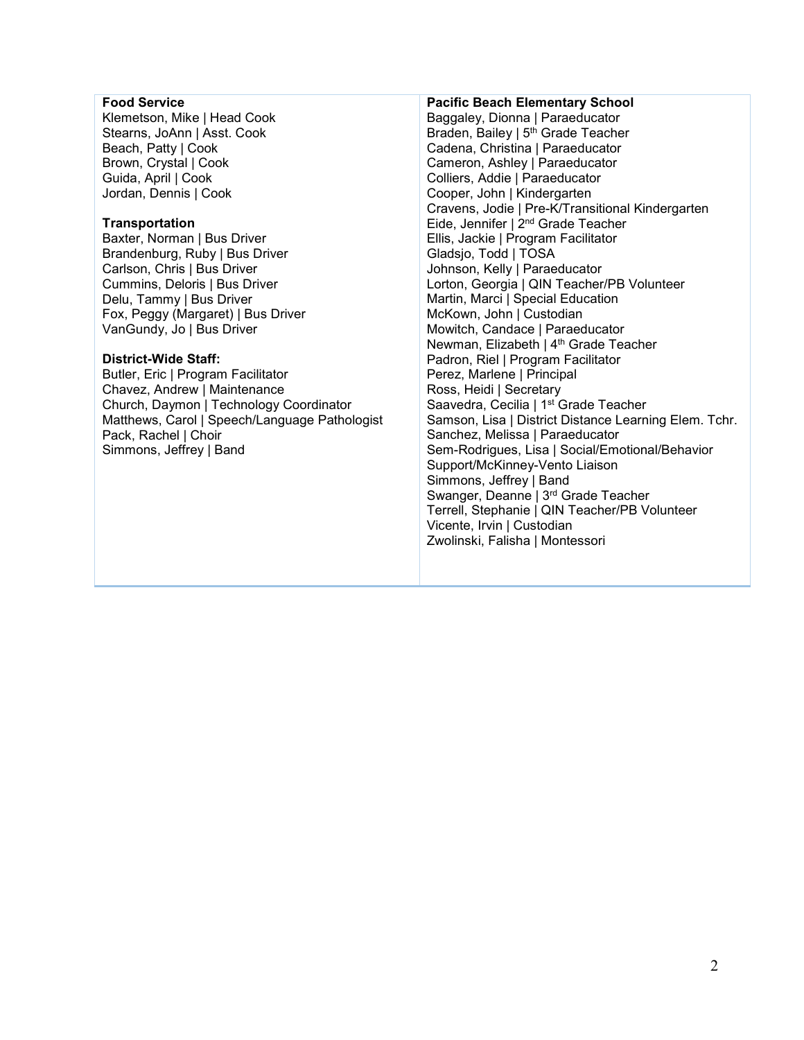### **Food Service**

Klemetson, Mike | Head Cook Stearns, JoAnn | Asst. Cook Beach, Patty | Cook Brown, Crystal | Cook Guida, April | Cook Jordan, Dennis | Cook

#### **Transportation**

Baxter, Norman | Bus Driver Brandenburg, Ruby | Bus Driver Carlson, Chris | Bus Driver Cummins, Deloris | Bus Driver Delu, Tammy | Bus Driver Fox, Peggy (Margaret) | Bus Driver VanGundy, Jo | Bus Driver

#### **District-Wide Staff:**

Butler, Eric | Program Facilitator Chavez, Andrew | Maintenance Church, Daymon | Technology Coordinator Matthews, Carol | Speech/Language Pathologist Pack, Rachel | Choir Simmons, Jeffrey | Band

#### Baggaley, Dionna | Paraeducator Braden, Bailey | 5<sup>th</sup> Grade Teacher Cadena, Christina | Paraeducator Cameron, Ashley | Paraeducator Colliers, Addie | Paraeducator

**Pacific Beach Elementary School**

Cooper, John | Kindergarten Cravens, Jodie | Pre-K/Transitional Kindergarten Eide, Jennifer | 2nd Grade Teacher Ellis, Jackie | Program Facilitator Gladsjo, Todd | TOSA Johnson, Kelly | Paraeducator Lorton, Georgia | QIN Teacher/PB Volunteer Martin, Marci | Special Education McKown, John | Custodian Mowitch, Candace | Paraeducator Newman, Elizabeth | 4<sup>th</sup> Grade Teacher Padron, Riel | Program Facilitator Perez, Marlene | Principal Ross, Heidi | Secretary Saavedra, Cecilia | 1<sup>st</sup> Grade Teacher Samson, Lisa | District Distance Learning Elem. Tchr. Sanchez, Melissa | Paraeducator Sem-Rodrigues, Lisa | Social/Emotional/Behavior Support/McKinney-Vento Liaison Simmons, Jeffrey | Band Swanger, Deanne | 3rd Grade Teacher Terrell, Stephanie | QIN Teacher/PB Volunteer Vicente, Irvin | Custodian Zwolinski, Falisha | Montessori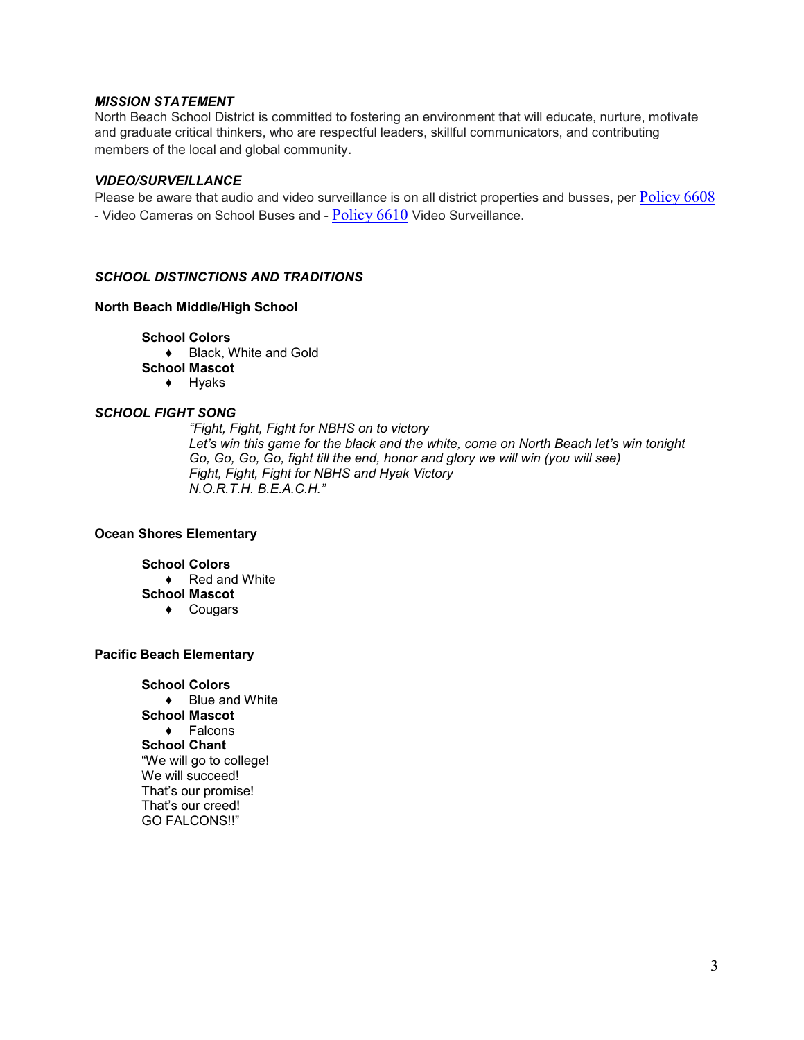#### *MISSION STATEMENT*

North Beach School District is committed to fostering an environment that will educate, nurture, motivate and graduate critical thinkers, who are respectful leaders, skillful communicators, and contributing members of the local and global community.

#### *VIDEO/SURVEILLANCE*

Please be aware that audio and video surveillance is on all district properties and busses, per [Policy 6608](about:blank) - Video Cameras on School Buses and - [Policy 6610](about:blank) Video Surveillance.

#### *SCHOOL DISTINCTIONS AND TRADITIONS*

#### **North Beach Middle/High School**

#### **School Colors**

♦ Black, White and Gold

- **School Mascot**
	- ♦ Hyaks

#### *SCHOOL FIGHT SONG*

*"Fight, Fight, Fight for NBHS on to victory Let's win this game for the black and the white, come on North Beach let's win tonight Go, Go, Go, Go, fight till the end, honor and glory we will win (you will see) Fight, Fight, Fight for NBHS and Hyak Victory N.O.R.T.H. B.E.A.C.H."*

#### **Ocean Shores Elementary**

#### **School Colors**

- ♦ Red and White **School Mascot**
	- ♦ Cougars

#### **Pacific Beach Elementary**

**School Colors** ♦ Blue and White **School Mascot** ♦ Falcons **School Chant** "We will go to college! We will succeed! That's our promise! That's our creed! GO FALCONS!!"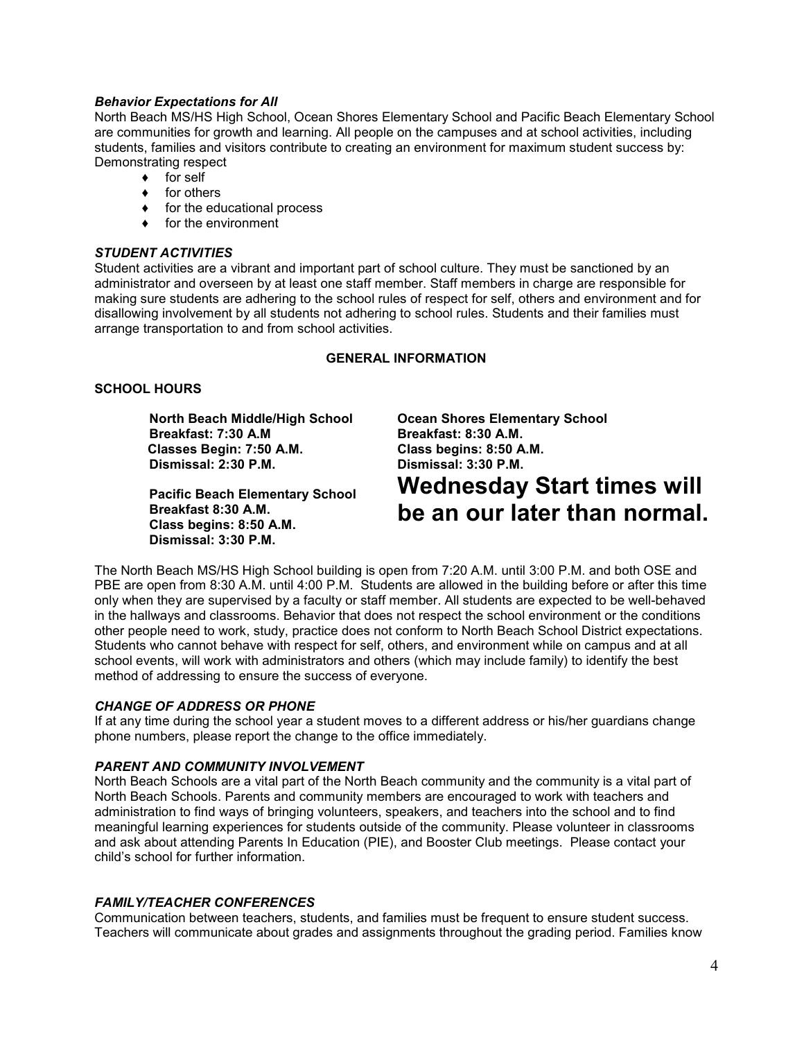#### *Behavior Expectations for All*

North Beach MS/HS High School, Ocean Shores Elementary School and Pacific Beach Elementary School are communities for growth and learning. All people on the campuses and at school activities, including students, families and visitors contribute to creating an environment for maximum student success by: Demonstrating respect

- ♦ for self
- ♦ for others
- ♦ for the educational process
- ♦ for the environment

#### *STUDENT ACTIVITIES*

Student activities are a vibrant and important part of school culture. They must be sanctioned by an administrator and overseen by at least one staff member. Staff members in charge are responsible for making sure students are adhering to the school rules of respect for self, others and environment and for disallowing involvement by all students not adhering to school rules. Students and their families must arrange transportation to and from school activities.

#### **GENERAL INFORMATION**

#### **SCHOOL HOURS**

 **North Beach Middle/High School Breakfast: 7:30 A.M Classes Begin: 7:50 A.M. Dismissal: 2:30 P.M.** 

**Pacific Beach Elementary School Breakfast 8:30 A.M. Class begins: 8:50 A.M. Dismissal: 3:30 P.M.**

**Ocean Shores Elementary School Breakfast: 8:30 A.M. Class begins: 8:50 A.M. Dismissal: 3:30 P.M.**

# **Wednesday Start times will be an our later than normal.**

The North Beach MS/HS High School building is open from 7:20 A.M. until 3:00 P.M. and both OSE and PBE are open from 8:30 A.M. until 4:00 P.M. Students are allowed in the building before or after this time only when they are supervised by a faculty or staff member. All students are expected to be well-behaved in the hallways and classrooms. Behavior that does not respect the school environment or the conditions other people need to work, study, practice does not conform to North Beach School District expectations. Students who cannot behave with respect for self, others, and environment while on campus and at all school events, will work with administrators and others (which may include family) to identify the best method of addressing to ensure the success of everyone.

#### *CHANGE OF ADDRESS OR PHONE*

If at any time during the school year a student moves to a different address or his/her guardians change phone numbers, please report the change to the office immediately.

#### *PARENT AND COMMUNITY INVOLVEMENT*

North Beach Schools are a vital part of the North Beach community and the community is a vital part of North Beach Schools. Parents and community members are encouraged to work with teachers and administration to find ways of bringing volunteers, speakers, and teachers into the school and to find meaningful learning experiences for students outside of the community. Please volunteer in classrooms and ask about attending Parents In Education (PIE), and Booster Club meetings. Please contact your child's school for further information.

#### *FAMILY/TEACHER CONFERENCES*

Communication between teachers, students, and families must be frequent to ensure student success. Teachers will communicate about grades and assignments throughout the grading period. Families know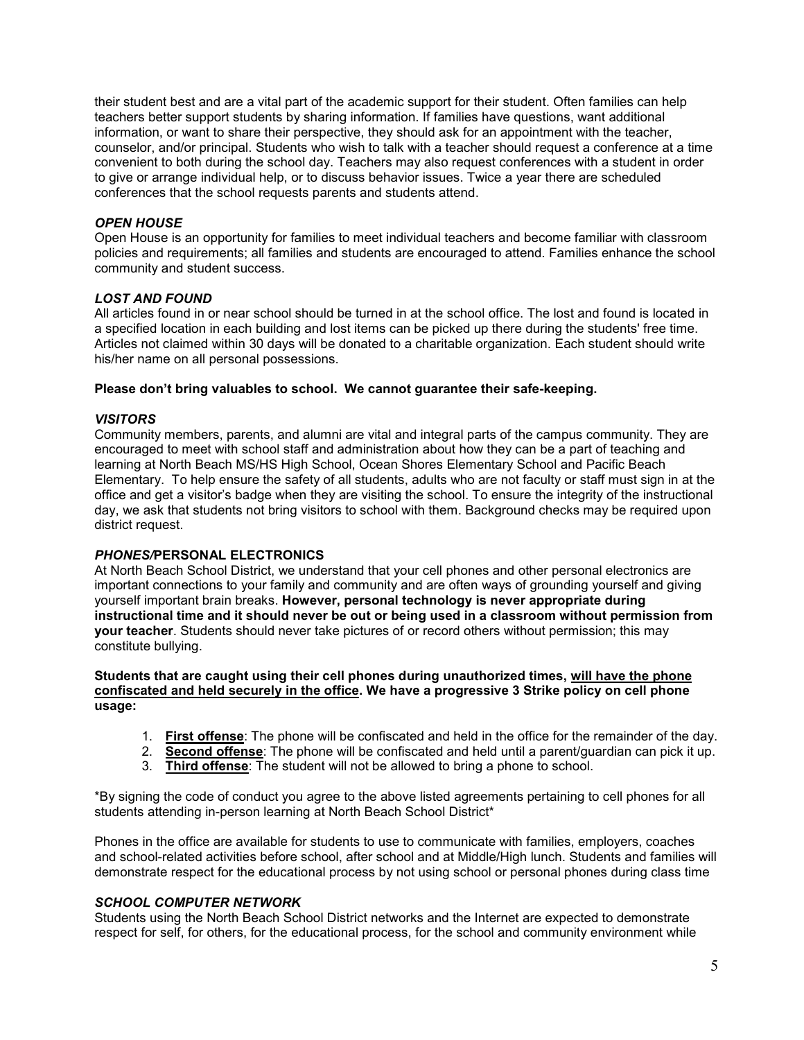their student best and are a vital part of the academic support for their student. Often families can help teachers better support students by sharing information. If families have questions, want additional information, or want to share their perspective, they should ask for an appointment with the teacher, counselor, and/or principal. Students who wish to talk with a teacher should request a conference at a time convenient to both during the school day. Teachers may also request conferences with a student in order to give or arrange individual help, or to discuss behavior issues. Twice a year there are scheduled conferences that the school requests parents and students attend.

### *OPEN HOUSE*

Open House is an opportunity for families to meet individual teachers and become familiar with classroom policies and requirements; all families and students are encouraged to attend. Families enhance the school community and student success.

### *LOST AND FOUND*

All articles found in or near school should be turned in at the school office. The lost and found is located in a specified location in each building and lost items can be picked up there during the students' free time. Articles not claimed within 30 days will be donated to a charitable organization. Each student should write his/her name on all personal possessions.

#### **Please don't bring valuables to school. We cannot guarantee their safe-keeping.**

#### *VISITORS*

Community members, parents, and alumni are vital and integral parts of the campus community. They are encouraged to meet with school staff and administration about how they can be a part of teaching and learning at North Beach MS/HS High School, Ocean Shores Elementary School and Pacific Beach Elementary. To help ensure the safety of all students, adults who are not faculty or staff must sign in at the office and get a visitor's badge when they are visiting the school. To ensure the integrity of the instructional day, we ask that students not bring visitors to school with them. Background checks may be required upon district request.

### *PHONES/***PERSONAL ELECTRONICS**

At North Beach School District, we understand that your cell phones and other personal electronics are important connections to your family and community and are often ways of grounding yourself and giving yourself important brain breaks. **However, personal technology is never appropriate during instructional time and it should never be out or being used in a classroom without permission from your teacher**. Students should never take pictures of or record others without permission; this may constitute bullying.

#### **Students that are caught using their cell phones during unauthorized times, will have the phone confiscated and held securely in the office. We have a progressive 3 Strike policy on cell phone usage:**

- 1. **First offense**: The phone will be confiscated and held in the office for the remainder of the day.
- 2. **Second offense**: The phone will be confiscated and held until a parent/guardian can pick it up.
- 3. **Third offense**: The student will not be allowed to bring a phone to school.

\*By signing the code of conduct you agree to the above listed agreements pertaining to cell phones for all students attending in-person learning at North Beach School District\*

Phones in the office are available for students to use to communicate with families, employers, coaches and school-related activities before school, after school and at Middle/High lunch. Students and families will demonstrate respect for the educational process by not using school or personal phones during class time

### *SCHOOL COMPUTER NETWORK*

Students using the North Beach School District networks and the Internet are expected to demonstrate respect for self, for others, for the educational process, for the school and community environment while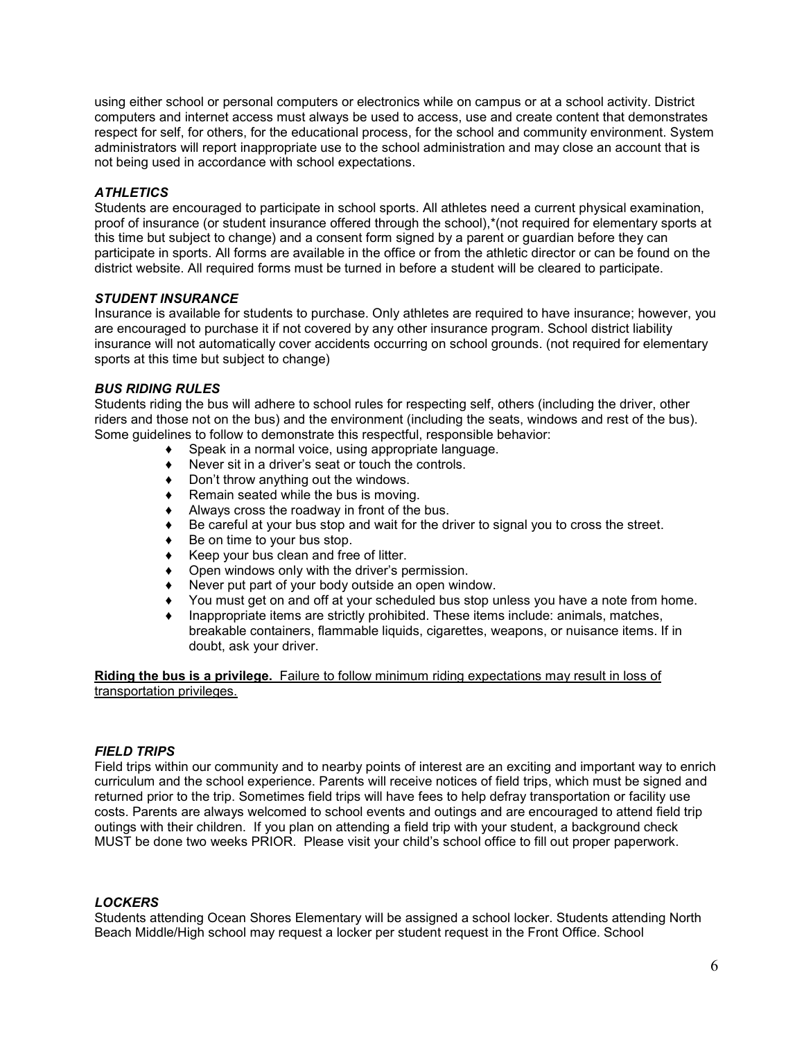using either school or personal computers or electronics while on campus or at a school activity. District computers and internet access must always be used to access, use and create content that demonstrates respect for self, for others, for the educational process, for the school and community environment. System administrators will report inappropriate use to the school administration and may close an account that is not being used in accordance with school expectations.

# *ATHLETICS*

Students are encouraged to participate in school sports. All athletes need a current physical examination, proof of insurance (or student insurance offered through the school),\*(not required for elementary sports at this time but subject to change) and a consent form signed by a parent or guardian before they can participate in sports. All forms are available in the office or from the athletic director or can be found on the district website. All required forms must be turned in before a student will be cleared to participate.

### *STUDENT INSURANCE*

Insurance is available for students to purchase. Only athletes are required to have insurance; however, you are encouraged to purchase it if not covered by any other insurance program. School district liability insurance will not automatically cover accidents occurring on school grounds. (not required for elementary sports at this time but subject to change)

### *BUS RIDING RULES*

Students riding the bus will adhere to school rules for respecting self, others (including the driver, other riders and those not on the bus) and the environment (including the seats, windows and rest of the bus). Some guidelines to follow to demonstrate this respectful, responsible behavior:

- ◆ Speak in a normal voice, using appropriate language.<br>◆ Never sit in a driver's seat or touch the controls.
- Never sit in a driver's seat or touch the controls.
- ♦ Don't throw anything out the windows.
- $\triangleleft$  Remain seated while the bus is moving.
- ♦ Always cross the roadway in front of the bus.
- ◆ Be careful at your bus stop and wait for the driver to signal you to cross the street.
- $\bullet$  Be on time to your bus stop.
- ♦ Keep your bus clean and free of litter.
- ♦ Open windows only with the driver's permission.
- ♦ Never put part of your body outside an open window.
- ◆ You must get on and off at your scheduled bus stop unless you have a note from home.<br>◆ Inappropriate items are strictly prohibited. These items include: animals. matches.
- Inappropriate items are strictly prohibited. These items include: animals, matches, breakable containers, flammable liquids, cigarettes, weapons, or nuisance items. If in doubt, ask your driver.

**Riding the bus is a privilege.** Failure to follow minimum riding expectations may result in loss of transportation privileges.

#### *FIELD TRIPS*

Field trips within our community and to nearby points of interest are an exciting and important way to enrich curriculum and the school experience. Parents will receive notices of field trips, which must be signed and returned prior to the trip. Sometimes field trips will have fees to help defray transportation or facility use costs. Parents are always welcomed to school events and outings and are encouraged to attend field trip outings with their children. If you plan on attending a field trip with your student, a background check MUST be done two weeks PRIOR. Please visit your child's school office to fill out proper paperwork.

### *LOCKERS*

Students attending Ocean Shores Elementary will be assigned a school locker. Students attending North Beach Middle/High school may request a locker per student request in the Front Office. School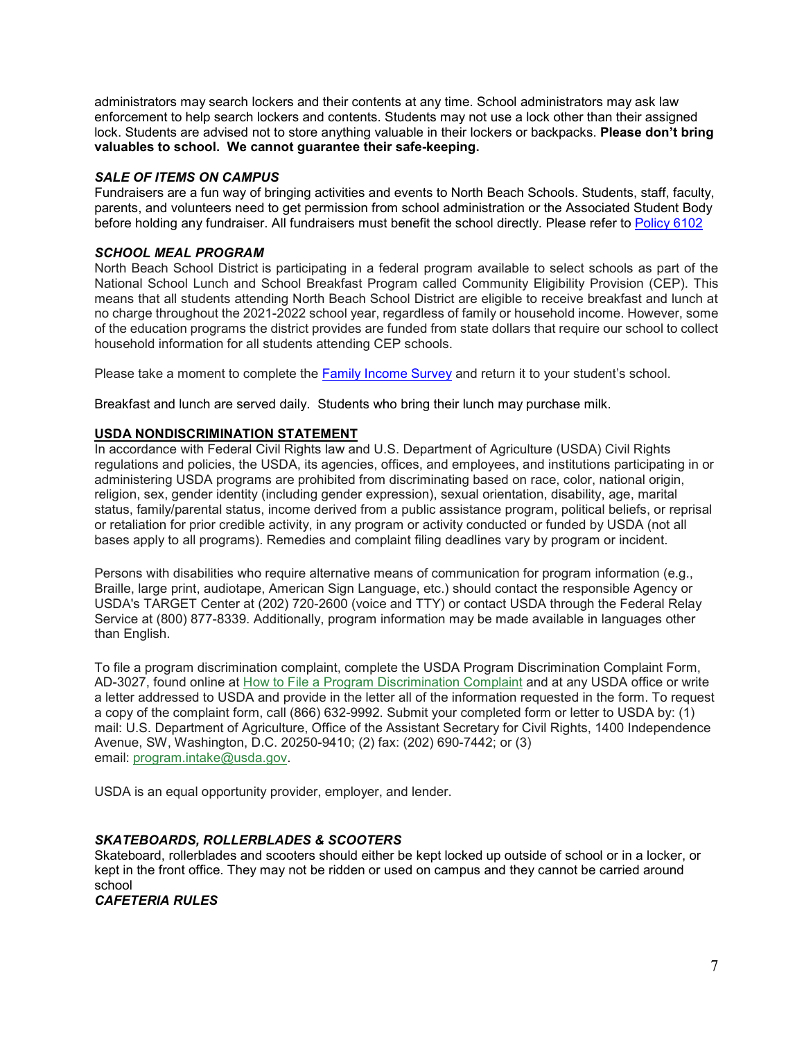administrators may search lockers and their contents at any time. School administrators may ask law enforcement to help search lockers and contents. Students may not use a lock other than their assigned lock. Students are advised not to store anything valuable in their lockers or backpacks. **Please don't bring valuables to school. We cannot guarantee their safe-keeping.**

# *SALE OF ITEMS ON CAMPUS*

Fundraisers are a fun way of bringing activities and events to North Beach Schools. Students, staff, faculty, parents, and volunteers need to get permission from school administration or the Associated Student Body before holding any fundraiser. All fundraisers must benefit the school directly. Please refer to [Policy 6102](about:blank)

# *SCHOOL MEAL PROGRAM*

North Beach School District is participating in a federal program available to select schools as part of the National School Lunch and School Breakfast Program called Community Eligibility Provision (CEP). This means that all students attending North Beach School District are eligible to receive breakfast and lunch at no charge throughout the 2021-2022 school year, regardless of family or household income. However, some of the education programs the district provides are funded from state dollars that require our school to collect household information for all students attending CEP schools.

Please take a moment to complete the [Family Income Survey](about:blank) and return it to your student's school.

Breakfast and lunch are served daily. Students who bring their lunch may purchase milk.

# **USDA NONDISCRIMINATION STATEMENT**

In accordance with Federal Civil Rights law and U.S. Department of Agriculture (USDA) Civil Rights regulations and policies, the USDA, its agencies, offices, and employees, and institutions participating in or administering USDA programs are prohibited from discriminating based on race, color, national origin, religion, sex, gender identity (including gender expression), sexual orientation, disability, age, marital status, family/parental status, income derived from a public assistance program, political beliefs, or reprisal or retaliation for prior credible activity, in any program or activity conducted or funded by USDA (not all bases apply to all programs). Remedies and complaint filing deadlines vary by program or incident.

Persons with disabilities who require alternative means of communication for program information (e.g., Braille, large print, audiotape, American Sign Language, etc.) should contact the responsible Agency or USDA's TARGET Center at (202) 720-2600 (voice and TTY) or contact USDA through the Federal Relay Service at (800) 877-8339. Additionally, program information may be made available in languages other than English.

To file a program discrimination complaint, complete the USDA Program Discrimination Complaint Form, AD-3027, found online at [How to File a Program Discrimination Complaint](about:blank) and at any USDA office or write a letter addressed to USDA and provide in the letter all of the information requested in the form. To request a copy of the complaint form, call (866) 632-9992. Submit your completed form or letter to USDA by: (1) mail: U.S. Department of Agriculture, Office of the Assistant Secretary for Civil Rights, 1400 Independence Avenue, SW, Washington, D.C. 20250-9410; (2) fax: (202) 690-7442; or (3) email: [program.intake@usda.gov.](about:blank)

USDA is an equal opportunity provider, employer, and lender.

### *SKATEBOARDS, ROLLERBLADES & SCOOTERS*

Skateboard, rollerblades and scooters should either be kept locked up outside of school or in a locker, or kept in the front office. They may not be ridden or used on campus and they cannot be carried around school

*CAFETERIA RULES*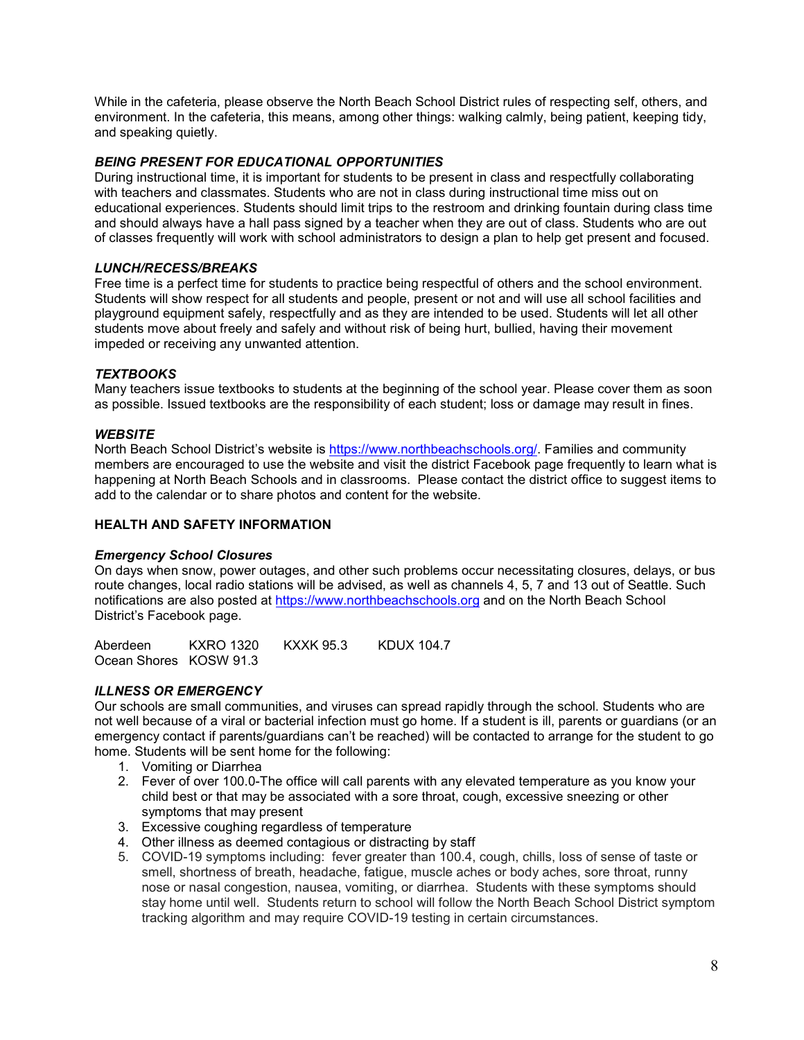While in the cafeteria, please observe the North Beach School District rules of respecting self, others, and environment. In the cafeteria, this means, among other things: walking calmly, being patient, keeping tidy, and speaking quietly.

#### *BEING PRESENT FOR EDUCATIONAL OPPORTUNITIES*

During instructional time, it is important for students to be present in class and respectfully collaborating with teachers and classmates. Students who are not in class during instructional time miss out on educational experiences. Students should limit trips to the restroom and drinking fountain during class time and should always have a hall pass signed by a teacher when they are out of class. Students who are out of classes frequently will work with school administrators to design a plan to help get present and focused.

#### *LUNCH/RECESS/BREAKS*

Free time is a perfect time for students to practice being respectful of others and the school environment. Students will show respect for all students and people, present or not and will use all school facilities and playground equipment safely, respectfully and as they are intended to be used. Students will let all other students move about freely and safely and without risk of being hurt, bullied, having their movement impeded or receiving any unwanted attention.

#### *TEXTBOOKS*

Many teachers issue textbooks to students at the beginning of the school year. Please cover them as soon as possible. Issued textbooks are the responsibility of each student; loss or damage may result in fines.

#### *WEBSITE*

North Beach School District's website is [https://www.northbeachschools.org/.](about:blank) Families and community members are encouraged to use the website and visit the district Facebook page frequently to learn what is happening at North Beach Schools and in classrooms. Please contact the district office to suggest items to add to the calendar or to share photos and content for the website.

#### **HEALTH AND SAFETY INFORMATION**

#### *Emergency School Closures*

On days when snow, power outages, and other such problems occur necessitating closures, delays, or bus route changes, local radio stations will be advised, as well as channels 4, 5, 7 and 13 out of Seattle. Such notifications are also posted at [https://www.northbeachschools.org](about:blank) and on the North Beach School District's Facebook page.

Aberdeen KXRO 1320 KXXK 95.3 KDUX 104.7 Ocean Shores KOSW 91.3

### *ILLNESS OR EMERGENCY*

Our schools are small communities, and viruses can spread rapidly through the school. Students who are not well because of a viral or bacterial infection must go home. If a student is ill, parents or guardians (or an emergency contact if parents/guardians can't be reached) will be contacted to arrange for the student to go home. Students will be sent home for the following:

- 1. Vomiting or Diarrhea
- 2. Fever of over 100.0-The office will call parents with any elevated temperature as you know your child best or that may be associated with a sore throat, cough, excessive sneezing or other symptoms that may present
- 3. Excessive coughing regardless of temperature
- 4. Other illness as deemed contagious or distracting by staff
- 5. COVID-19 symptoms including: fever greater than 100.4, cough, chills, loss of sense of taste or smell, shortness of breath, headache, fatigue, muscle aches or body aches, sore throat, runny nose or nasal congestion, nausea, vomiting, or diarrhea. Students with these symptoms should stay home until well. Students return to school will follow the North Beach School District symptom tracking algorithm and may require COVID-19 testing in certain circumstances.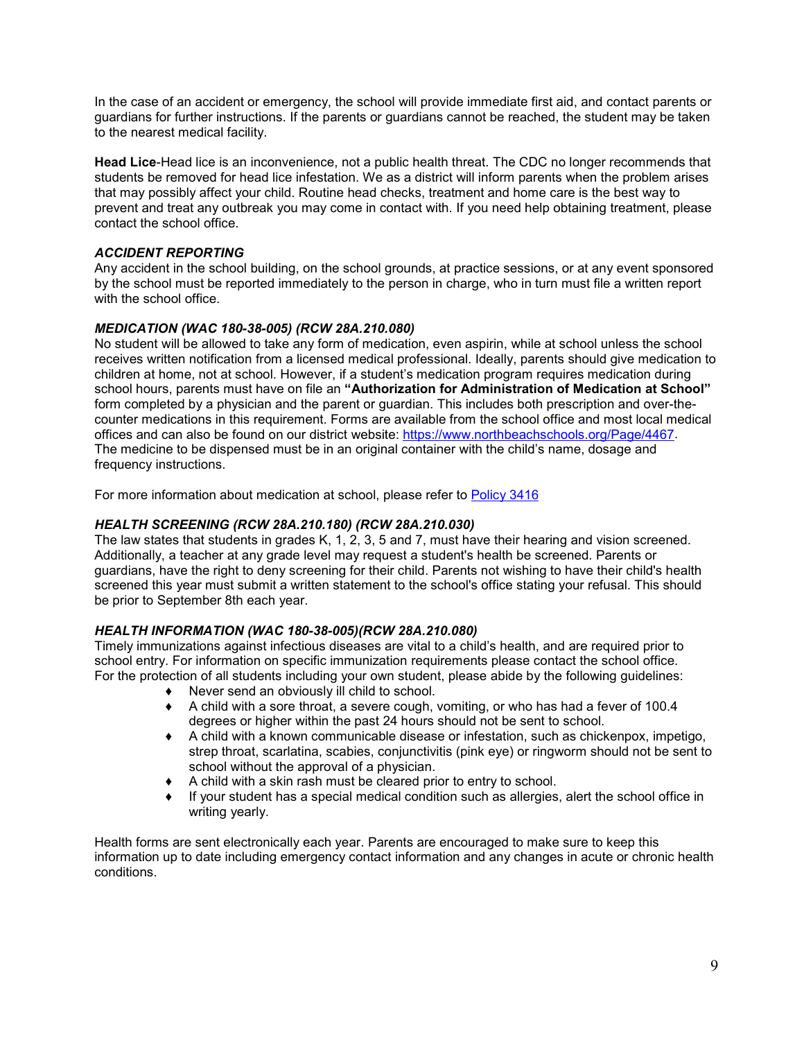In the case of an accident or emergency, the school will provide immediate first aid, and contact parents or guardians for further instructions. If the parents or guardians cannot be reached, the student may be taken to the nearest medical facility.

**Head Lice**-Head lice is an inconvenience, not a public health threat. The CDC no longer recommends that students be removed for head lice infestation. We as a district will inform parents when the problem arises that may possibly affect your child. Routine head checks, treatment and home care is the best way to prevent and treat any outbreak you may come in contact with. If you need help obtaining treatment, please contact the school office.

# *ACCIDENT REPORTING*

Any accident in the school building, on the school grounds, at practice sessions, or at any event sponsored by the school must be reported immediately to the person in charge, who in turn must file a written report with the school office.

# *MEDICATION (WAC 180-38-005) (RCW 28A.210.080)*

No student will be allowed to take any form of medication, even aspirin, while at school unless the school receives written notification from a licensed medical professional. Ideally, parents should give medication to children at home, not at school. However, if a student's medication program requires medication during school hours, parents must have on file an **"Authorization for Administration of Medication at School"** form completed by a physician and the parent or guardian. This includes both prescription and over-thecounter medications in this requirement. Forms are available from the school office and most local medical offices and can also be found on our district website: [https://www.northbeachschools.org/Page/4467.](about:blank) The medicine to be dispensed must be in an original container with the child's name, dosage and frequency instructions.

For more information about medication at school, please refer to [Policy 3416](about:blank)

### *HEALTH SCREENING (RCW 28A.210.180) (RCW 28A.210.030)*

The law states that students in grades K, 1, 2, 3, 5 and 7, must have their hearing and vision screened. Additionally, a teacher at any grade level may request a student's health be screened. Parents or guardians, have the right to deny screening for their child. Parents not wishing to have their child's health screened this year must submit a written statement to the school's office stating your refusal. This should be prior to September 8th each year.

### *HEALTH INFORMATION (WAC 180-38-005)(RCW 28A.210.080)*

Timely immunizations against infectious diseases are vital to a child's health, and are required prior to school entry. For information on specific immunization requirements please contact the school office. For the protection of all students including your own student, please abide by the following guidelines:

- ♦ Never send an obviously ill child to school.
- $\blacklozenge$  A child with a sore throat, a severe cough, vomiting, or who has had a fever of 100.4 degrees or higher within the past 24 hours should not be sent to school.
- ♦ A child with a known communicable disease or infestation, such as chickenpox, impetigo, strep throat, scarlatina, scabies, conjunctivitis (pink eye) or ringworm should not be sent to school without the approval of a physician.
- ♦ A child with a skin rash must be cleared prior to entry to school.
- $\bullet$  If your student has a special medical condition such as allergies, alert the school office in writing yearly.

Health forms are sent electronically each year. Parents are encouraged to make sure to keep this information up to date including emergency contact information and any changes in acute or chronic health conditions.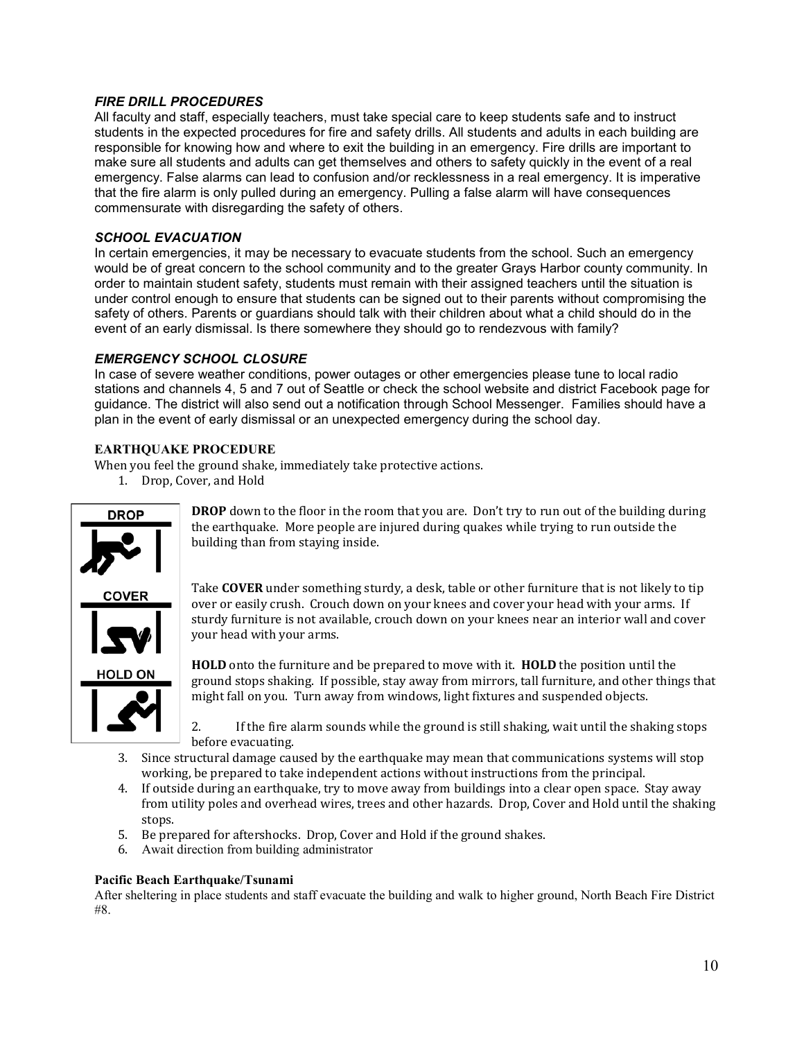# *FIRE DRILL PROCEDURES*

All faculty and staff, especially teachers, must take special care to keep students safe and to instruct students in the expected procedures for fire and safety drills. All students and adults in each building are responsible for knowing how and where to exit the building in an emergency. Fire drills are important to make sure all students and adults can get themselves and others to safety quickly in the event of a real emergency. False alarms can lead to confusion and/or recklessness in a real emergency. It is imperative that the fire alarm is only pulled during an emergency. Pulling a false alarm will have consequences commensurate with disregarding the safety of others.

# *SCHOOL EVACUATION*

In certain emergencies, it may be necessary to evacuate students from the school. Such an emergency would be of great concern to the school community and to the greater Grays Harbor county community. In order to maintain student safety, students must remain with their assigned teachers until the situation is under control enough to ensure that students can be signed out to their parents without compromising the safety of others. Parents or guardians should talk with their children about what a child should do in the event of an early dismissal. Is there somewhere they should go to rendezvous with family?

### *EMERGENCY SCHOOL CLOSURE*

In case of severe weather conditions, power outages or other emergencies please tune to local radio stations and channels 4, 5 and 7 out of Seattle or check the school website and district Facebook page for guidance. The district will also send out a notification through School Messenger. Families should have a plan in the event of early dismissal or an unexpected emergency during the school day.

#### **EARTHQUAKE PROCEDURE**

When you feel the ground shake, immediately take protective actions.

1. Drop, Cover, and Hold



**DROP** down to the floor in the room that you are. Don't try to run out of the building during the earthquake. More people are injured during quakes while trying to run outside the building than from staying inside.

Take **COVER** under something sturdy, a desk, table or other furniture that is not likely to tip over or easily crush. Crouch down on your knees and cover your head with your arms. If sturdy furniture is not available, crouch down on your knees near an interior wall and cover your head with your arms.

**HOLD** onto the furniture and be prepared to move with it. **HOLD** the position until the ground stops shaking. If possible, stay away from mirrors, tall furniture, and other things that might fall on you. Turn away from windows, light fixtures and suspended objects.

2. If the fire alarm sounds while the ground is still shaking, wait until the shaking stops before evacuating.

- 3. Since structural damage caused by the earthquake may mean that communications systems will stop working, be prepared to take independent actions without instructions from the principal.
- 4. If outside during an earthquake, try to move away from buildings into a clear open space. Stay away from utility poles and overhead wires, trees and other hazards. Drop, Cover and Hold until the shaking stops.
- 5. Be prepared for aftershocks. Drop, Cover and Hold if the ground shakes.
- 6. Await direction from building administrator

#### **Pacific Beach Earthquake/Tsunami**

After sheltering in place students and staff evacuate the building and walk to higher ground, North Beach Fire District #8.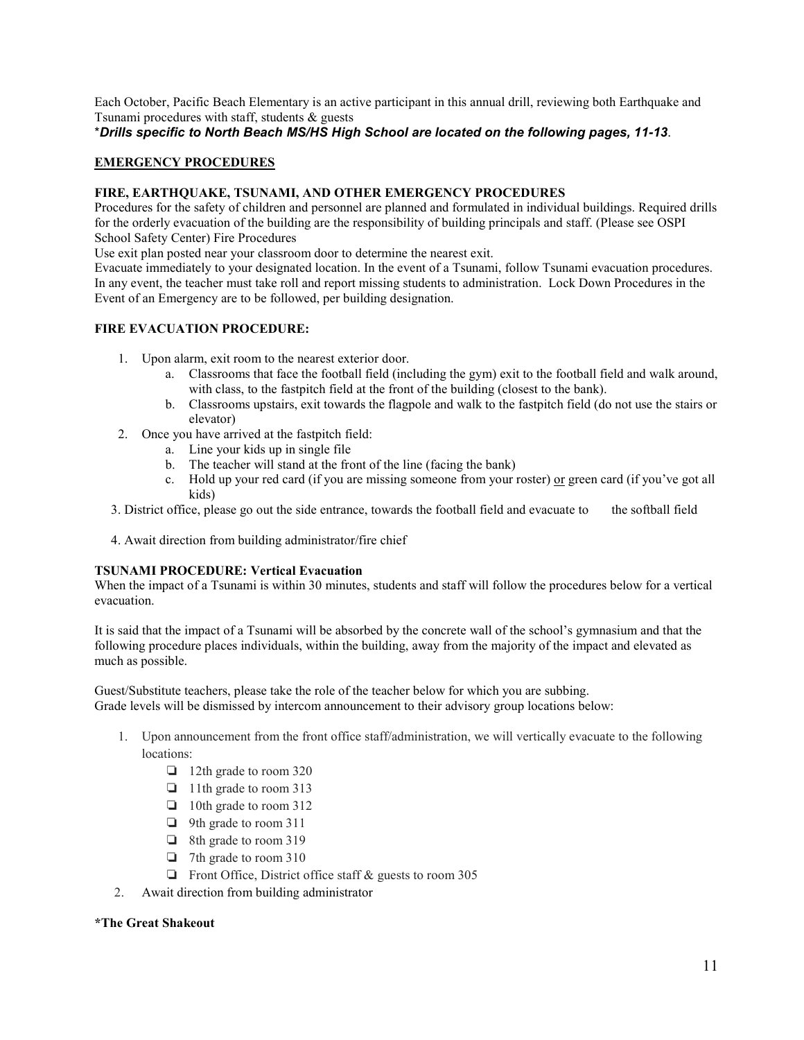Each October, Pacific Beach Elementary is an active participant in this annual drill, reviewing both Earthquake and Tsunami procedures with staff, students & guests

\**Drills specific to North Beach MS/HS High School are located on the following pages, 11-13*.

### **EMERGENCY PROCEDURES**

#### **FIRE, EARTHQUAKE, TSUNAMI, AND OTHER EMERGENCY PROCEDURES**

Procedures for the safety of children and personnel are planned and formulated in individual buildings. Required drills for the orderly evacuation of the building are the responsibility of building principals and staff. (Please see OSPI School Safety Center) Fire Procedures

Use exit plan posted near your classroom door to determine the nearest exit.

Evacuate immediately to your designated location. In the event of a Tsunami, follow Tsunami evacuation procedures. In any event, the teacher must take roll and report missing students to administration. Lock Down Procedures in the Event of an Emergency are to be followed, per building designation.

#### **FIRE EVACUATION PROCEDURE:**

- 1. Upon alarm, exit room to the nearest exterior door.
	- a. Classrooms that face the football field (including the gym) exit to the football field and walk around, with class, to the fastpitch field at the front of the building (closest to the bank).
	- b. Classrooms upstairs, exit towards the flagpole and walk to the fastpitch field (do not use the stairs or elevator)
- 2. Once you have arrived at the fastpitch field:
	- a. Line your kids up in single file
	- b. The teacher will stand at the front of the line (facing the bank)
	- c. Hold up your red card (if you are missing someone from your roster) or green card (if you've got all kids)
- 3. District office, please go out the side entrance, towards the football field and evacuate to the softball field
- 4. Await direction from building administrator/fire chief

#### **TSUNAMI PROCEDURE: Vertical Evacuation**

When the impact of a Tsunami is within 30 minutes, students and staff will follow the procedures below for a vertical evacuation.

It is said that the impact of a Tsunami will be absorbed by the concrete wall of the school's gymnasium and that the following procedure places individuals, within the building, away from the majority of the impact and elevated as much as possible.

Guest/Substitute teachers, please take the role of the teacher below for which you are subbing. Grade levels will be dismissed by intercom announcement to their advisory group locations below:

- 1. Upon announcement from the front office staff/administration, we will vertically evacuate to the following locations:
	- ❏ 12th grade to room 320
	- ❏ 11th grade to room 313
	- ❏ 10th grade to room 312
	- ❏ 9th grade to room 311
	- ❏ 8th grade to room 319
	- ❏ 7th grade to room 310
	- ❏ Front Office, District office staff & guests to room 305
- 2. Await direction from building administrator

#### **\*The Great Shakeout**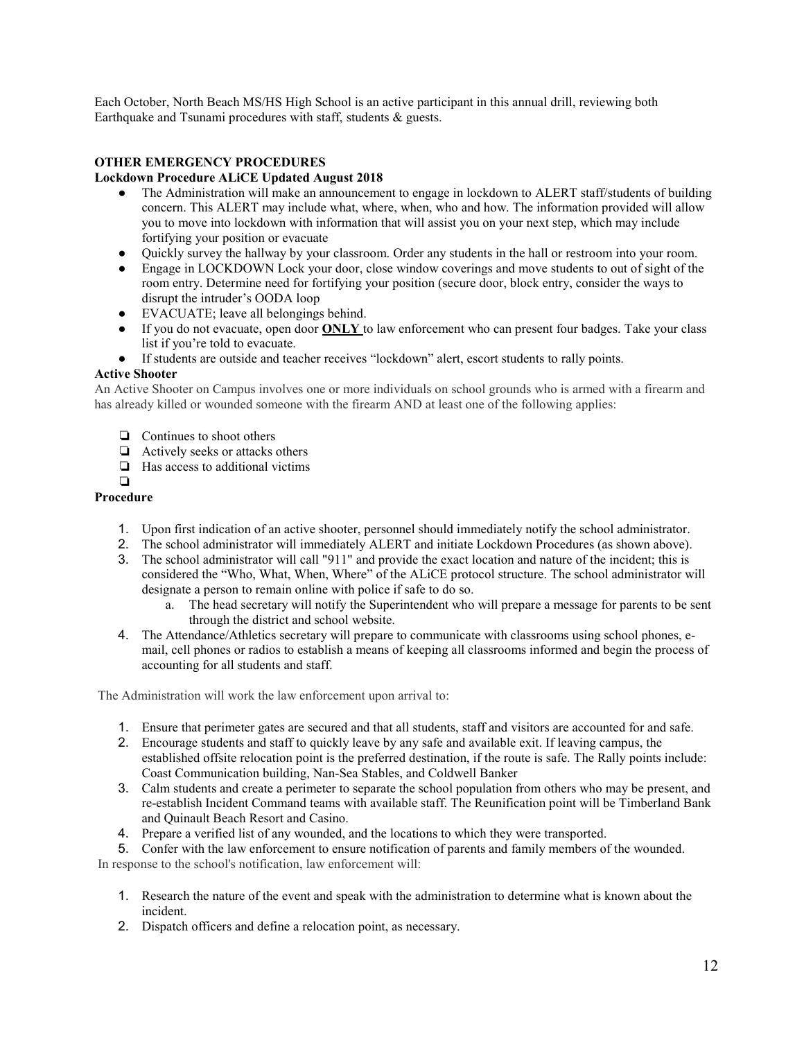Each October, North Beach MS/HS High School is an active participant in this annual drill, reviewing both Earthquake and Tsunami procedures with staff, students & guests.

### **OTHER EMERGENCY PROCEDURES**

#### **Lockdown Procedure ALiCE Updated August 2018**

- The Administration will make an announcement to engage in lockdown to ALERT staff/students of building concern. This ALERT may include what, where, when, who and how. The information provided will allow you to move into lockdown with information that will assist you on your next step, which may include fortifying your position or evacuate
- Quickly survey the hallway by your classroom. Order any students in the hall or restroom into your room.
- Engage in LOCKDOWN Lock your door, close window coverings and move students to out of sight of the room entry. Determine need for fortifying your position (secure door, block entry, consider the ways to disrupt the intruder's OODA loop
- EVACUATE; leave all belongings behind.
- If you do not evacuate, open door **ONLY** to law enforcement who can present four badges. Take your class list if you're told to evacuate.
- If students are outside and teacher receives "lockdown" alert, escort students to rally points.

#### **Active Shooter**

An Active Shooter on Campus involves one or more individuals on school grounds who is armed with a firearm and has already killed or wounded someone with the firearm AND at least one of the following applies:

- ❏ Continues to shoot others
- ❏ Actively seeks or attacks others
- ❏ Has access to additional victims

#### ❏ **Procedure**

- 1. Upon first indication of an active shooter, personnel should immediately notify the school administrator.
- 2. The school administrator will immediately ALERT and initiate Lockdown Procedures (as shown above).
- 3. The school administrator will call "911" and provide the exact location and nature of the incident; this is considered the "Who, What, When, Where" of the ALiCE protocol structure. The school administrator will designate a person to remain online with police if safe to do so.
	- a. The head secretary will notify the Superintendent who will prepare a message for parents to be sent through the district and school website.
- 4. The Attendance/Athletics secretary will prepare to communicate with classrooms using school phones, email, cell phones or radios to establish a means of keeping all classrooms informed and begin the process of accounting for all students and staff.

The Administration will work the law enforcement upon arrival to:

- 1. Ensure that perimeter gates are secured and that all students, staff and visitors are accounted for and safe.
- 2. Encourage students and staff to quickly leave by any safe and available exit. If leaving campus, the established offsite relocation point is the preferred destination, if the route is safe. The Rally points include: Coast Communication building, Nan-Sea Stables, and Coldwell Banker
- 3. Calm students and create a perimeter to separate the school population from others who may be present, and re-establish Incident Command teams with available staff. The Reunification point will be Timberland Bank and Quinault Beach Resort and Casino.
- 4. Prepare a verified list of any wounded, and the locations to which they were transported.
- 5. Confer with the law enforcement to ensure notification of parents and family members of the wounded.

In response to the school's notification, law enforcement will:

- 1. Research the nature of the event and speak with the administration to determine what is known about the incident.
- 2. Dispatch officers and define a relocation point, as necessary.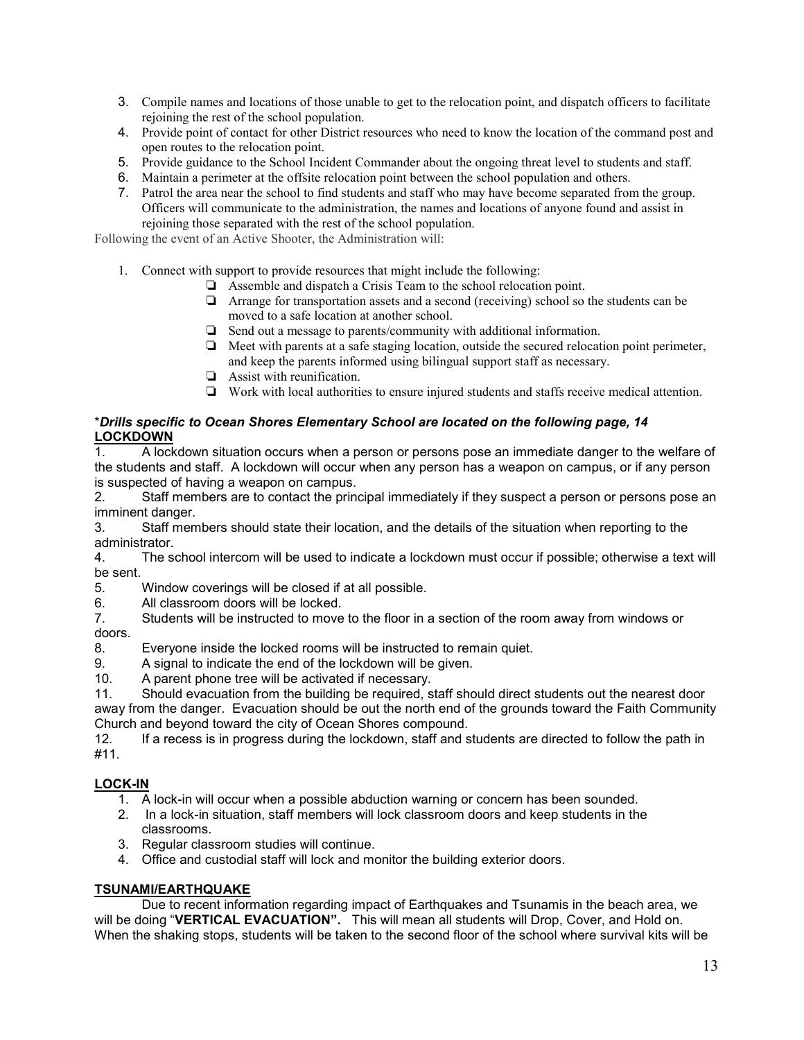- 3. Compile names and locations of those unable to get to the relocation point, and dispatch officers to facilitate rejoining the rest of the school population.
- 4. Provide point of contact for other District resources who need to know the location of the command post and open routes to the relocation point.
- 5. Provide guidance to the School Incident Commander about the ongoing threat level to students and staff.
- 6. Maintain a perimeter at the offsite relocation point between the school population and others.
- 7. Patrol the area near the school to find students and staff who may have become separated from the group. Officers will communicate to the administration, the names and locations of anyone found and assist in rejoining those separated with the rest of the school population.

Following the event of an Active Shooter, the Administration will:

- 1. Connect with support to provide resources that might include the following:
	- ❏ Assemble and dispatch a Crisis Team to the school relocation point.
	- ❏ Arrange for transportation assets and a second (receiving) school so the students can be moved to a safe location at another school.
	- ❏ Send out a message to parents/community with additional information.
	- ❏ Meet with parents at a safe staging location, outside the secured relocation point perimeter, and keep the parents informed using bilingual support staff as necessary.
	- ❏ Assist with reunification.
	- ❏ Work with local authorities to ensure injured students and staffs receive medical attention.

### \**Drills specific to Ocean Shores Elementary School are located on the following page, 14* **LOCKDOWN**

1. A lockdown situation occurs when a person or persons pose an immediate danger to the welfare of the students and staff. A lockdown will occur when any person has a weapon on campus, or if any person is suspected of having a weapon on campus.

2. Staff members are to contact the principal immediately if they suspect a person or persons pose an imminent danger.

3. Staff members should state their location, and the details of the situation when reporting to the administrator.

4. The school intercom will be used to indicate a lockdown must occur if possible; otherwise a text will be sent.

5. Window coverings will be closed if at all possible.

6. All classroom doors will be locked.<br>7. Students will be instructed to move

Students will be instructed to move to the floor in a section of the room away from windows or doors.

- 8. Everyone inside the locked rooms will be instructed to remain quiet.<br>9. A signal to indicate the end of the lockdown will be given
- A signal to indicate the end of the lockdown will be given.
- 10. A parent phone tree will be activated if necessary.

11. Should evacuation from the building be required, staff should direct students out the nearest door away from the danger. Evacuation should be out the north end of the grounds toward the Faith Community Church and beyond toward the city of Ocean Shores compound.

12. If a recess is in progress during the lockdown, staff and students are directed to follow the path in #11.

### **LOCK-IN**

1. A lock-in will occur when a possible abduction warning or concern has been sounded.

- 2. In a lock-in situation, staff members will lock classroom doors and keep students in the classrooms.
- 3. Regular classroom studies will continue.
- 4. Office and custodial staff will lock and monitor the building exterior doors.

### **TSUNAMI/EARTHQUAKE**

Due to recent information regarding impact of Earthquakes and Tsunamis in the beach area, we will be doing "**VERTICAL EVACUATION".** This will mean all students will Drop, Cover, and Hold on. When the shaking stops, students will be taken to the second floor of the school where survival kits will be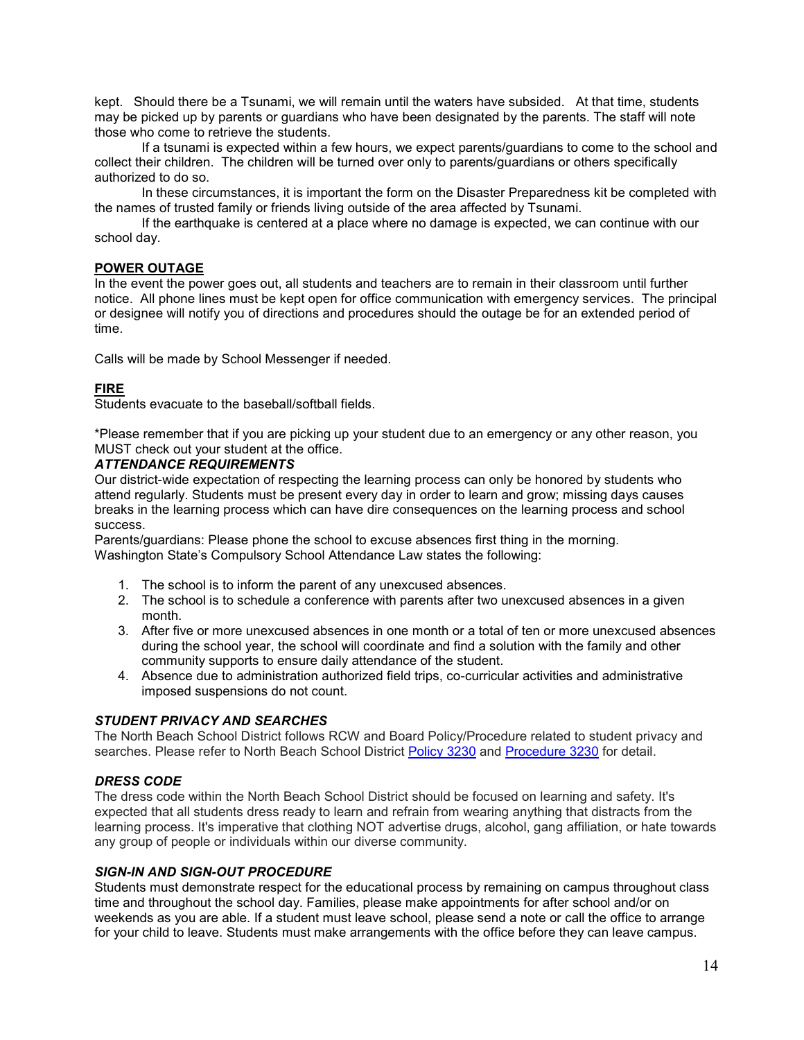kept. Should there be a Tsunami, we will remain until the waters have subsided. At that time, students may be picked up by parents or guardians who have been designated by the parents. The staff will note those who come to retrieve the students.

If a tsunami is expected within a few hours, we expect parents/guardians to come to the school and collect their children. The children will be turned over only to parents/guardians or others specifically authorized to do so.

In these circumstances, it is important the form on the Disaster Preparedness kit be completed with the names of trusted family or friends living outside of the area affected by Tsunami.

If the earthquake is centered at a place where no damage is expected, we can continue with our school day.

#### **POWER OUTAGE**

In the event the power goes out, all students and teachers are to remain in their classroom until further notice. All phone lines must be kept open for office communication with emergency services. The principal or designee will notify you of directions and procedures should the outage be for an extended period of time.

Calls will be made by School Messenger if needed.

#### **FIRE**

Students evacuate to the baseball/softball fields.

\*Please remember that if you are picking up your student due to an emergency or any other reason, you MUST check out your student at the office.

#### *ATTENDANCE REQUIREMENTS*

Our district-wide expectation of respecting the learning process can only be honored by students who attend regularly. Students must be present every day in order to learn and grow; missing days causes breaks in the learning process which can have dire consequences on the learning process and school success.

Parents/guardians: Please phone the school to excuse absences first thing in the morning. Washington State's Compulsory School Attendance Law states the following:

- 1. The school is to inform the parent of any unexcused absences.
- 2. The school is to schedule a conference with parents after two unexcused absences in a given month.
- 3. After five or more unexcused absences in one month or a total of ten or more unexcused absences during the school year, the school will coordinate and find a solution with the family and other community supports to ensure daily attendance of the student.
- 4. Absence due to administration authorized field trips, co-curricular activities and administrative imposed suspensions do not count.

#### *STUDENT PRIVACY AND SEARCHES*

The North Beach School District follows RCW and Board Policy/Procedure related to student privacy and searches. Please refer to North Beach School District [Policy 3230](about:blank) and [Procedure 3230](about:blank) for detail.

#### *DRESS CODE*

The dress code within the North Beach School District should be focused on learning and safety. It's expected that all students dress ready to learn and refrain from wearing anything that distracts from the learning process. It's imperative that clothing NOT advertise drugs, alcohol, gang affiliation, or hate towards any group of people or individuals within our diverse community.

#### *SIGN-IN AND SIGN-OUT PROCEDURE*

Students must demonstrate respect for the educational process by remaining on campus throughout class time and throughout the school day. Families, please make appointments for after school and/or on weekends as you are able. If a student must leave school, please send a note or call the office to arrange for your child to leave. Students must make arrangements with the office before they can leave campus.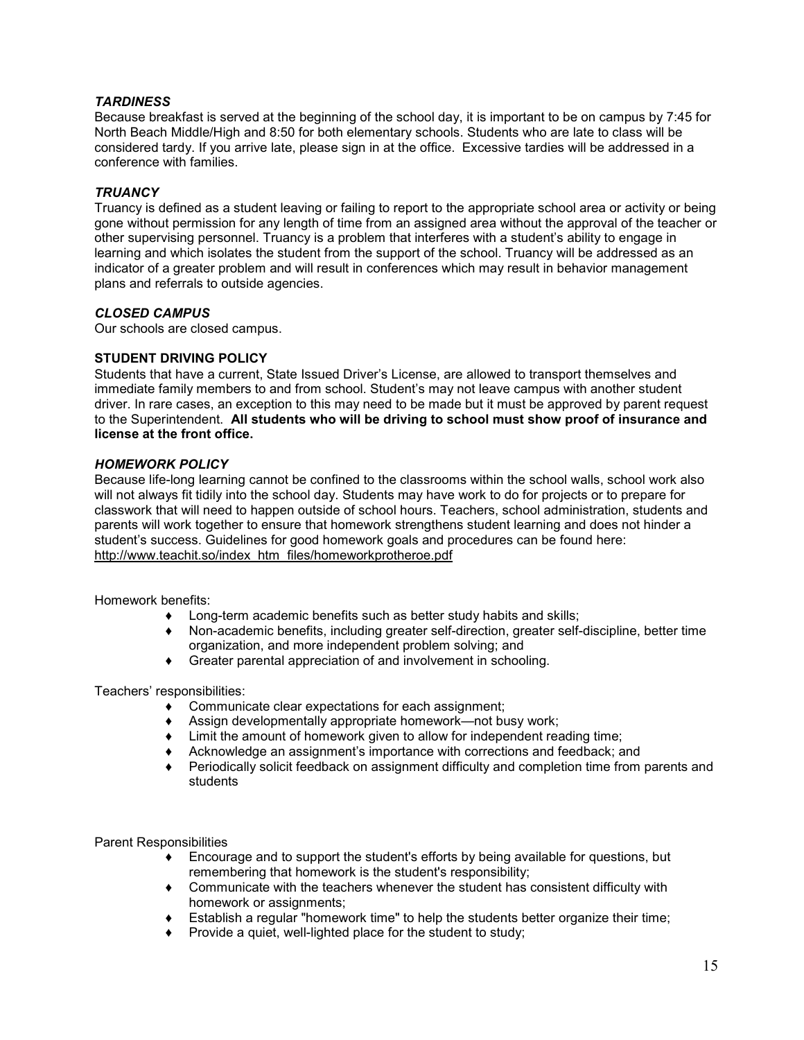### *TARDINESS*

Because breakfast is served at the beginning of the school day, it is important to be on campus by 7:45 for North Beach Middle/High and 8:50 for both elementary schools. Students who are late to class will be considered tardy. If you arrive late, please sign in at the office. Excessive tardies will be addressed in a conference with families.

#### *TRUANCY*

Truancy is defined as a student leaving or failing to report to the appropriate school area or activity or being gone without permission for any length of time from an assigned area without the approval of the teacher or other supervising personnel. Truancy is a problem that interferes with a student's ability to engage in learning and which isolates the student from the support of the school. Truancy will be addressed as an indicator of a greater problem and will result in conferences which may result in behavior management plans and referrals to outside agencies.

#### *CLOSED CAMPUS*

Our schools are closed campus.

#### **STUDENT DRIVING POLICY**

Students that have a current, State Issued Driver's License, are allowed to transport themselves and immediate family members to and from school. Student's may not leave campus with another student driver. In rare cases, an exception to this may need to be made but it must be approved by parent request to the Superintendent. **All students who will be driving to school must show proof of insurance and license at the front office.**

#### *HOMEWORK POLICY*

Because life-long learning cannot be confined to the classrooms within the school walls, school work also will not always fit tidily into the school day. Students may have work to do for projects or to prepare for classwork that will need to happen outside of school hours. Teachers, school administration, students and parents will work together to ensure that homework strengthens student learning and does not hinder a student's success. Guidelines for good homework goals and procedures can be found here: [http://www.teachit.so/index\\_htm\\_files/homeworkprotheroe.pdf](about:blank)

Homework benefits:

- Long-term academic benefits such as better study habits and skills;
- ♦ Non-academic benefits, including greater self-direction, greater self-discipline, better time organization, and more independent problem solving; and
- ♦ Greater parental appreciation of and involvement in schooling.

Teachers' responsibilities:

- ♦ Communicate clear expectations for each assignment;
- ♦ Assign developmentally appropriate homework—not busy work;
- ♦ Limit the amount of homework given to allow for independent reading time;
- ♦ Acknowledge an assignment's importance with corrections and feedback; and
- ♦ Periodically solicit feedback on assignment difficulty and completion time from parents and students

Parent Responsibilities

- ♦ Encourage and to support the student's efforts by being available for questions, but remembering that homework is the student's responsibility;
- ♦ Communicate with the teachers whenever the student has consistent difficulty with homework or assignments;
- ♦ Establish a regular "homework time" to help the students better organize their time;
- ♦ Provide a quiet, well-lighted place for the student to study;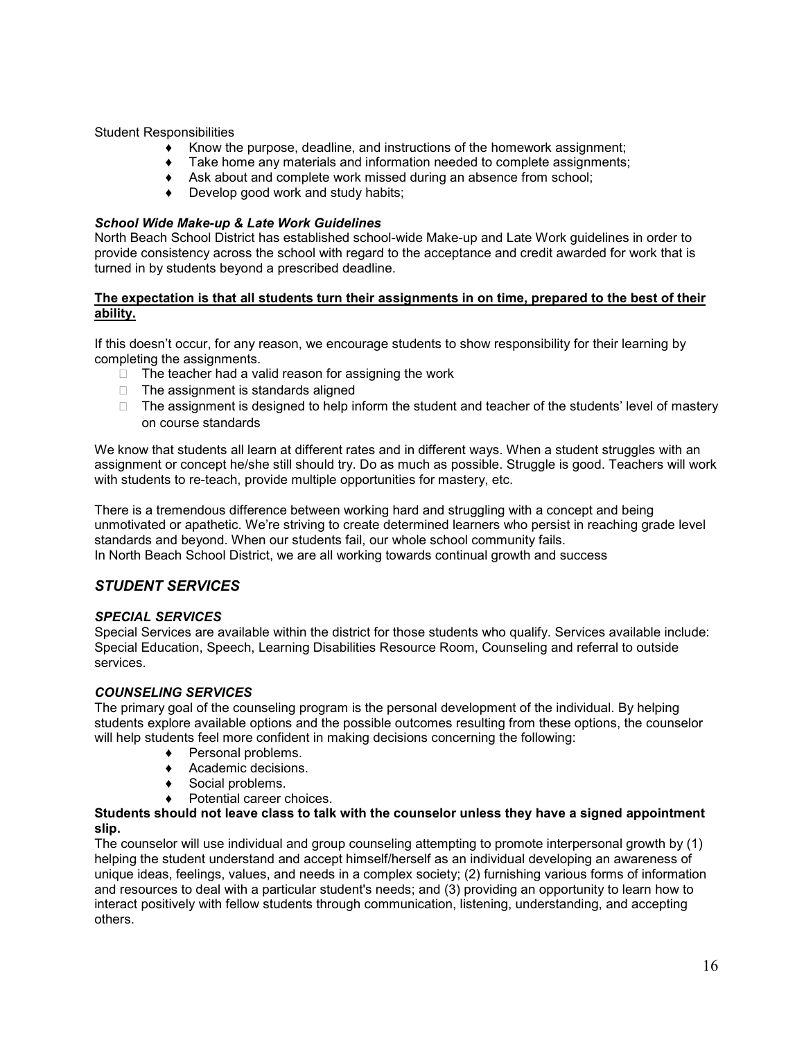Student Responsibilities

- ♦ Know the purpose, deadline, and instructions of the homework assignment;
- $\bullet$  Take home any materials and information needed to complete assignments;
- ♦ Ask about and complete work missed during an absence from school;
- ♦ Develop good work and study habits;

#### *School Wide Make-up & Late Work Guidelines*

North Beach School District has established school-wide Make-up and Late Work guidelines in order to provide consistency across the school with regard to the acceptance and credit awarded for work that is turned in by students beyond a prescribed deadline.

#### **The expectation is that all students turn their assignments in on time, prepared to the best of their ability.**

If this doesn't occur, for any reason, we encourage students to show responsibility for their learning by completing the assignments.

- $\Box$  The teacher had a valid reason for assigning the work
- $\Box$  The assignment is standards aligned
- $\Box$  The assignment is designed to help inform the student and teacher of the students' level of mastery on course standards

We know that students all learn at different rates and in different ways. When a student struggles with an assignment or concept he/she still should try. Do as much as possible. Struggle is good. Teachers will work with students to re-teach, provide multiple opportunities for mastery, etc.

There is a tremendous difference between working hard and struggling with a concept and being unmotivated or apathetic. We're striving to create determined learners who persist in reaching grade level standards and beyond. When our students fail, our whole school community fails. In North Beach School District, we are all working towards continual growth and success

# *STUDENT SERVICES*

### *SPECIAL SERVICES*

Special Services are available within the district for those students who qualify. Services available include: Special Education, Speech, Learning Disabilities Resource Room, Counseling and referral to outside services.

#### *COUNSELING SERVICES*

The primary goal of the counseling program is the personal development of the individual. By helping students explore available options and the possible outcomes resulting from these options, the counselor will help students feel more confident in making decisions concerning the following:

- ♦ Personal problems.
- ♦ Academic decisions.
- ♦ Social problems.
- ♦ Potential career choices.

#### **Students should not leave class to talk with the counselor unless they have a signed appointment slip.**

The counselor will use individual and group counseling attempting to promote interpersonal growth by (1) helping the student understand and accept himself/herself as an individual developing an awareness of unique ideas, feelings, values, and needs in a complex society; (2) furnishing various forms of information and resources to deal with a particular student's needs; and (3) providing an opportunity to learn how to interact positively with fellow students through communication, listening, understanding, and accepting others.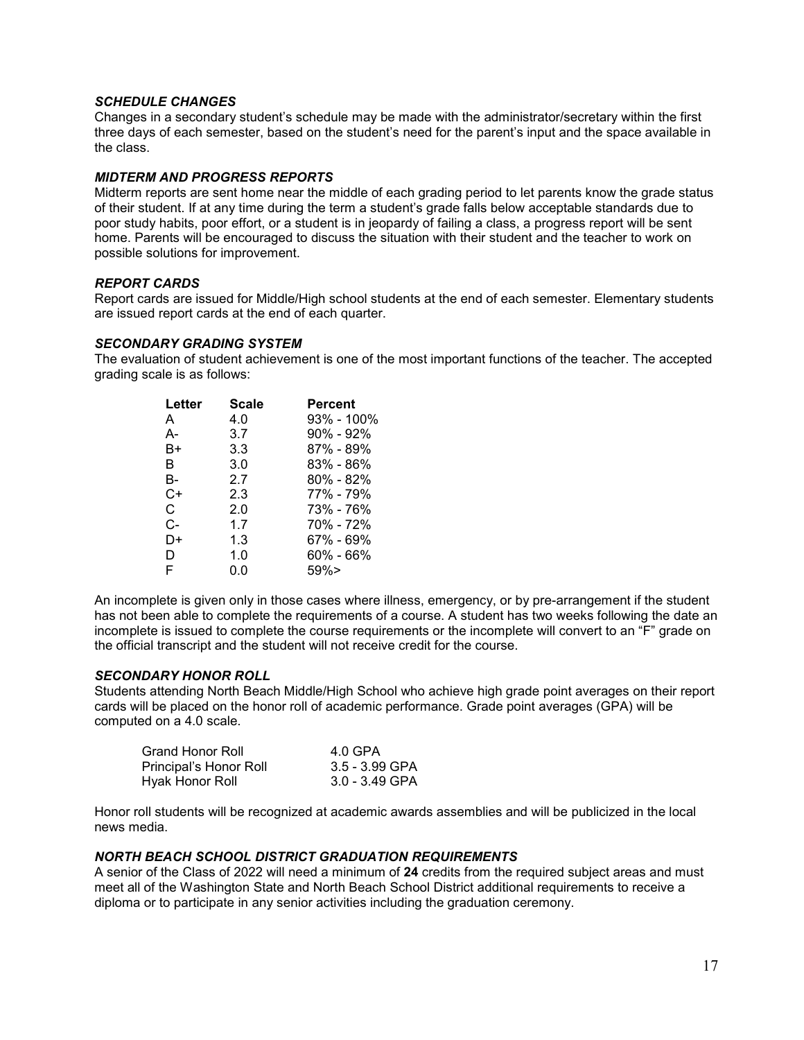#### *SCHEDULE CHANGES*

Changes in a secondary student's schedule may be made with the administrator/secretary within the first three days of each semester, based on the student's need for the parent's input and the space available in the class.

#### *MIDTERM AND PROGRESS REPORTS*

Midterm reports are sent home near the middle of each grading period to let parents know the grade status of their student. If at any time during the term a student's grade falls below acceptable standards due to poor study habits, poor effort, or a student is in jeopardy of failing a class, a progress report will be sent home. Parents will be encouraged to discuss the situation with their student and the teacher to work on possible solutions for improvement.

#### *REPORT CARDS*

Report cards are issued for Middle/High school students at the end of each semester. Elementary students are issued report cards at the end of each quarter.

#### *SECONDARY GRADING SYSTEM*

The evaluation of student achievement is one of the most important functions of the teacher. The accepted grading scale is as follows:

| Letter | <b>Scale</b> | <b>Percent</b> |
|--------|--------------|----------------|
| A      | 4.0          | 93% - 100%     |
| А-     | 3.7          | 90% - 92%      |
| B+     | 3.3          | 87% - 89%      |
| R      | 3.0          | 83% - 86%      |
| В-     | 2.7          | 80% - 82%      |
| C+     | 2.3          | 77% - 79%      |
| C.     | 2.0          | 73% - 76%      |
| C-     | 1.7          | 70% - 72%      |
| D+     | 1.3          | 67% - 69%      |
| D      | 1.0          | 60% - 66%      |
| F      | 0.0          | 59%            |

An incomplete is given only in those cases where illness, emergency, or by pre-arrangement if the student has not been able to complete the requirements of a course. A student has two weeks following the date an incomplete is issued to complete the course requirements or the incomplete will convert to an "F" grade on the official transcript and the student will not receive credit for the course.

#### *SECONDARY HONOR ROLL*

Students attending North Beach Middle/High School who achieve high grade point averages on their report cards will be placed on the honor roll of academic performance. Grade point averages (GPA) will be computed on a 4.0 scale.

| <b>Grand Honor Roll</b> | 4.0 GPA          |
|-------------------------|------------------|
| Principal's Honor Roll  | $3.5 - 3.99$ GPA |
| Hyak Honor Roll         | $3.0 - 3.49$ GPA |

Honor roll students will be recognized at academic awards assemblies and will be publicized in the local news media.

#### *NORTH BEACH SCHOOL DISTRICT GRADUATION REQUIREMENTS*

A senior of the Class of 2022 will need a minimum of **24** credits from the required subject areas and must meet all of the Washington State and North Beach School District additional requirements to receive a diploma or to participate in any senior activities including the graduation ceremony.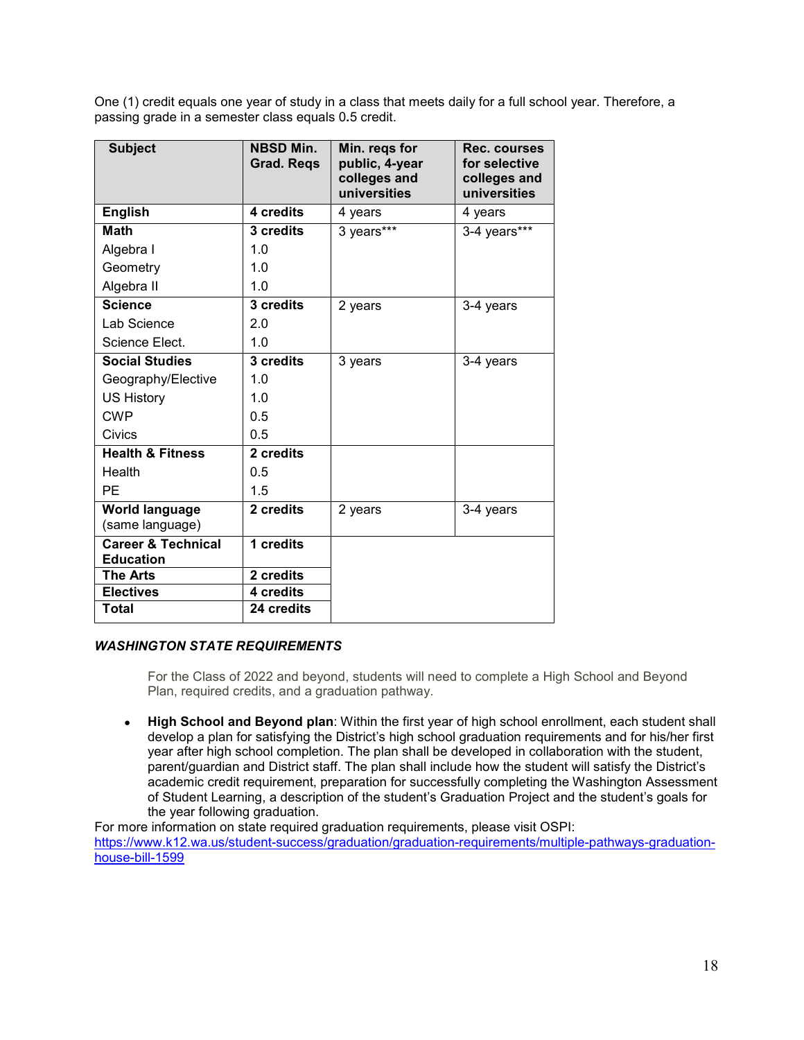One (1) credit equals one year of study in a class that meets daily for a full school year. Therefore, a passing grade in a semester class equals 0**.**5 credit.

| <b>Subject</b>                                    | <b>NBSD Min.</b><br><b>Grad. Regs</b> | Min. regs for<br>public, 4-year<br>colleges and<br>universities | Rec. courses<br>for selective<br>colleges and<br>universities |
|---------------------------------------------------|---------------------------------------|-----------------------------------------------------------------|---------------------------------------------------------------|
| <b>English</b>                                    | 4 credits                             | 4 years                                                         | 4 years                                                       |
| <b>Math</b>                                       | 3 credits                             | 3 years***                                                      | 3-4 years***                                                  |
| Algebra I                                         | 1.0                                   |                                                                 |                                                               |
| Geometry                                          | 1.0                                   |                                                                 |                                                               |
| Algebra II                                        | 1.0                                   |                                                                 |                                                               |
| <b>Science</b>                                    | 3 credits                             | 2 years                                                         | 3-4 years                                                     |
| Lab Science                                       | 2.0                                   |                                                                 |                                                               |
| Science Elect.                                    | 1.0                                   |                                                                 |                                                               |
| <b>Social Studies</b>                             | 3 credits                             | 3 years                                                         | 3-4 years                                                     |
| Geography/Elective                                | 1.0                                   |                                                                 |                                                               |
| <b>US History</b>                                 | 1.0                                   |                                                                 |                                                               |
| <b>CWP</b>                                        | 0.5                                   |                                                                 |                                                               |
| <b>Civics</b>                                     | 0.5                                   |                                                                 |                                                               |
| <b>Health &amp; Fitness</b>                       | 2 credits                             |                                                                 |                                                               |
| Health                                            | 0.5                                   |                                                                 |                                                               |
| PE                                                | 1.5                                   |                                                                 |                                                               |
| <b>World language</b><br>(same language)          | 2 credits                             | 2 years                                                         | 3-4 years                                                     |
| <b>Career &amp; Technical</b><br><b>Education</b> | 1 credits                             |                                                                 |                                                               |
| <b>The Arts</b>                                   | 2 credits                             |                                                                 |                                                               |
| <b>Electives</b>                                  | 4 credits                             |                                                                 |                                                               |
| Total                                             | 24 credits                            |                                                                 |                                                               |

# *WASHINGTON STATE REQUIREMENTS*

For the Class of 2022 and beyond, students will need to complete a High School and Beyond Plan, required credits, and a graduation pathway.

● **High School and Beyond plan**: Within the first year of high school enrollment, each student shall develop a plan for satisfying the District's high school graduation requirements and for his/her first year after high school completion. The plan shall be developed in collaboration with the student, parent/guardian and District staff. The plan shall include how the student will satisfy the District's academic credit requirement, preparation for successfully completing the Washington Assessment of Student Learning, a description of the student's Graduation Project and the student's goals for the year following graduation.

For more information on state required graduation requirements, please visit OSPI: [https://www.k12.wa.us/student-success/graduation/graduation-requirements/multiple-pathways-graduation](about:blank)[house-bill-1599](about:blank)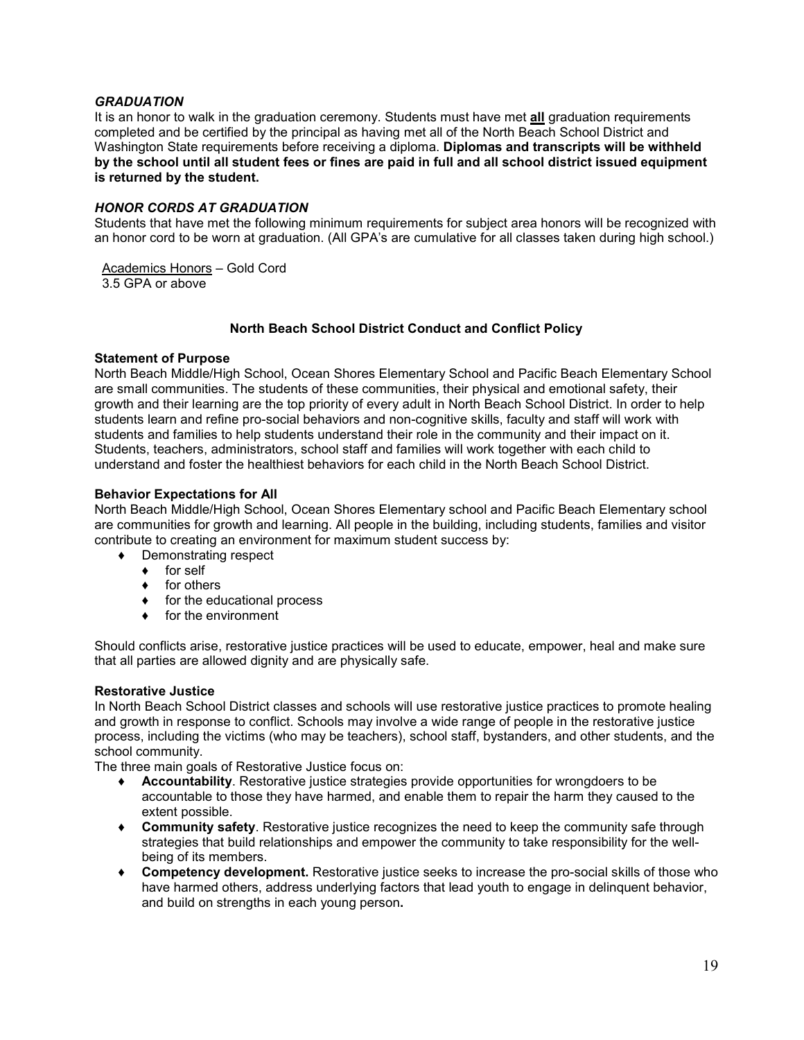#### *GRADUATION*

It is an honor to walk in the graduation ceremony. Students must have met **all** graduation requirements completed and be certified by the principal as having met all of the North Beach School District and Washington State requirements before receiving a diploma. **Diplomas and transcripts will be withheld by the school until all student fees or fines are paid in full and all school district issued equipment is returned by the student.**

#### *HONOR CORDS AT GRADUATION*

Students that have met the following minimum requirements for subject area honors will be recognized with an honor cord to be worn at graduation. (All GPA's are cumulative for all classes taken during high school.)

Academics Honors – Gold Cord 3.5 GPA or above

#### **North Beach School District Conduct and Conflict Policy**

#### **Statement of Purpose**

North Beach Middle/High School, Ocean Shores Elementary School and Pacific Beach Elementary School are small communities. The students of these communities, their physical and emotional safety, their growth and their learning are the top priority of every adult in North Beach School District. In order to help students learn and refine pro-social behaviors and non-cognitive skills, faculty and staff will work with students and families to help students understand their role in the community and their impact on it. Students, teachers, administrators, school staff and families will work together with each child to understand and foster the healthiest behaviors for each child in the North Beach School District.

#### **Behavior Expectations for All**

North Beach Middle/High School, Ocean Shores Elementary school and Pacific Beach Elementary school are communities for growth and learning. All people in the building, including students, families and visitor contribute to creating an environment for maximum student success by:

- ♦ Demonstrating respect
	- ♦ for self
	- ♦ for others
	- ♦ for the educational process
	- ♦ for the environment

Should conflicts arise, restorative justice practices will be used to educate, empower, heal and make sure that all parties are allowed dignity and are physically safe.

#### **Restorative Justice**

In North Beach School District classes and schools will use restorative justice practices to promote healing and growth in response to conflict. Schools may involve a wide range of people in the restorative justice process, including the victims (who may be teachers), school staff, bystanders, and other students, and the school community.

The three main goals of Restorative Justice focus on:

- ♦ **Accountability**. Restorative justice strategies provide opportunities for wrongdoers to be accountable to those they have harmed, and enable them to repair the harm they caused to the extent possible.
- ♦ **Community safety**. Restorative justice recognizes the need to keep the community safe through strategies that build relationships and empower the community to take responsibility for the wellbeing of its members.
- ♦ **Competency development.** Restorative justice seeks to increase the pro-social skills of those who have harmed others, address underlying factors that lead youth to engage in delinquent behavior, and build on strengths in each young person**.**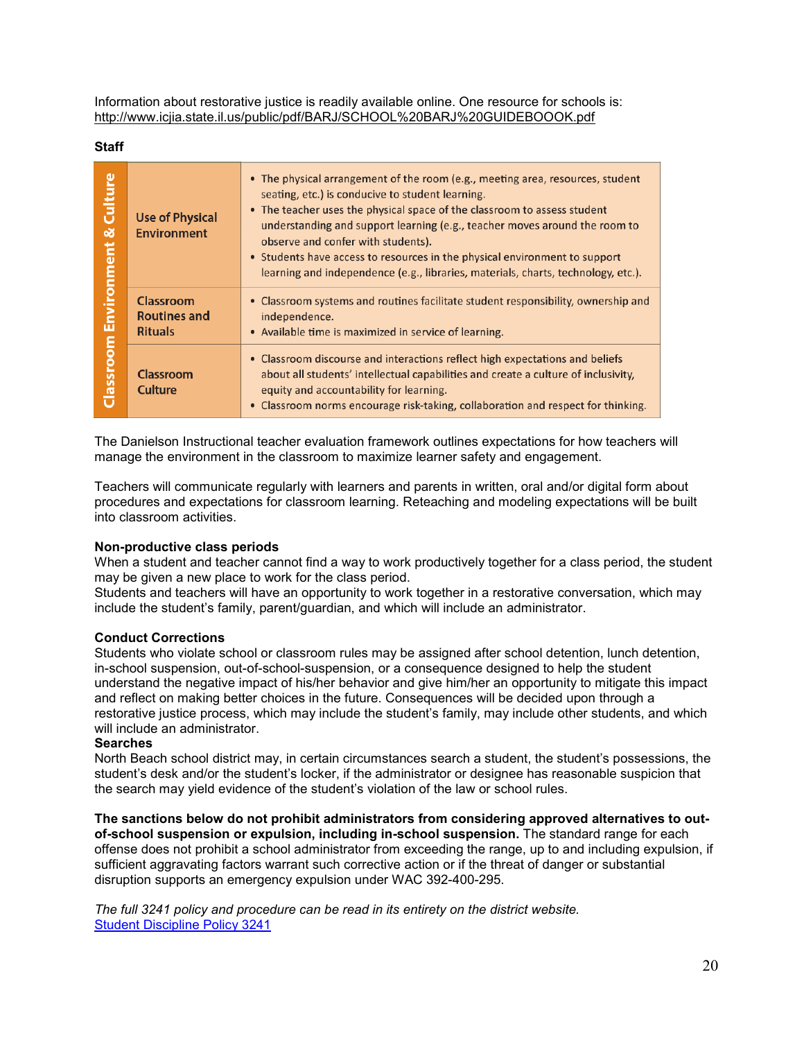Information about restorative justice is readily available online. One resource for schools is: [http://www.icjia.state.il.us/public/pdf/BARJ/SCHOOL%20BARJ%20GUIDEBOOOK.pdf](about:blank)

**Staff**

| Culture<br>൵<br><b>Environment</b><br>Classroom | <b>Use of Physical</b><br><b>Environment</b>              | • The physical arrangement of the room (e.g., meeting area, resources, student<br>seating, etc.) is conducive to student learning.<br>• The teacher uses the physical space of the classroom to assess student<br>understanding and support learning (e.g., teacher moves around the room to<br>observe and confer with students).<br>• Students have access to resources in the physical environment to support<br>learning and independence (e.g., libraries, materials, charts, technology, etc.). |
|-------------------------------------------------|-----------------------------------------------------------|-------------------------------------------------------------------------------------------------------------------------------------------------------------------------------------------------------------------------------------------------------------------------------------------------------------------------------------------------------------------------------------------------------------------------------------------------------------------------------------------------------|
|                                                 | <b>Classroom</b><br><b>Routines and</b><br><b>Rituals</b> | • Classroom systems and routines facilitate student responsibility, ownership and<br>independence.<br>• Available time is maximized in service of learning.                                                                                                                                                                                                                                                                                                                                           |
|                                                 | Classroom<br>Culture                                      | • Classroom discourse and interactions reflect high expectations and beliefs<br>about all students' intellectual capabilities and create a culture of inclusivity,<br>equity and accountability for learning.<br>• Classroom norms encourage risk-taking, collaboration and respect for thinking.                                                                                                                                                                                                     |

The Danielson Instructional teacher evaluation framework outlines expectations for how teachers will manage the environment in the classroom to maximize learner safety and engagement.

Teachers will communicate regularly with learners and parents in written, oral and/or digital form about procedures and expectations for classroom learning. Reteaching and modeling expectations will be built into classroom activities.

#### **Non-productive class periods**

When a student and teacher cannot find a way to work productively together for a class period, the student may be given a new place to work for the class period.

Students and teachers will have an opportunity to work together in a restorative conversation, which may include the student's family, parent/guardian, and which will include an administrator.

#### **Conduct Corrections**

Students who violate school or classroom rules may be assigned after school detention, lunch detention, in-school suspension, out-of-school-suspension, or a consequence designed to help the student understand the negative impact of his/her behavior and give him/her an opportunity to mitigate this impact and reflect on making better choices in the future. Consequences will be decided upon through a restorative justice process, which may include the student's family, may include other students, and which will include an administrator.

#### **Searches**

North Beach school district may, in certain circumstances search a student, the student's possessions, the student's desk and/or the student's locker, if the administrator or designee has reasonable suspicion that the search may yield evidence of the student's violation of the law or school rules.

**The sanctions below do not prohibit administrators from considering approved alternatives to outof-school suspension or expulsion, including in-school suspension.** The standard range for each offense does not prohibit a school administrator from exceeding the range, up to and including expulsion, if sufficient aggravating factors warrant such corrective action or if the threat of danger or substantial disruption supports an emergency expulsion under WAC 392-400-295.

*The full 3241 policy and procedure can be read in its entirety on the district website.* [Student Discipline Policy 3241](about:blank)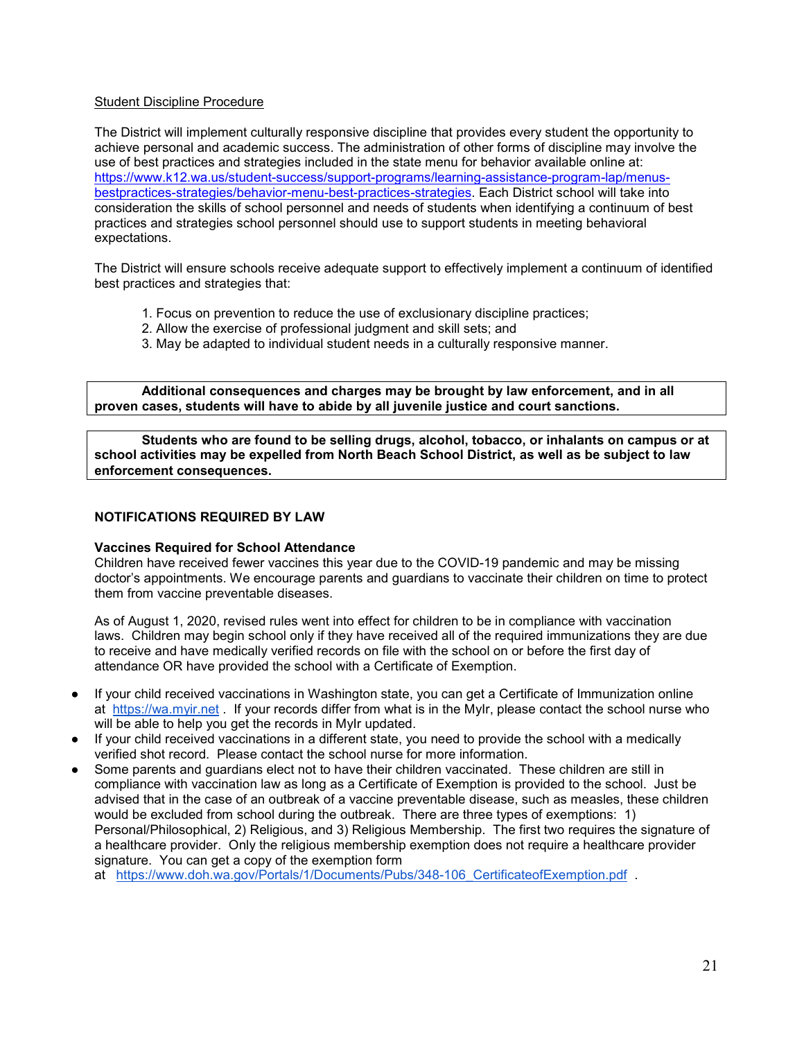# [Student Discipline Procedure](about:blank)

The District will implement culturally responsive discipline that provides every student the opportunity to achieve personal and academic success. The administration of other forms of discipline may involve the use of best practices and strategies included in the state menu for behavior available online at: [https://www.k12.wa.us/student-success/support-programs/learning-assistance-program-lap/menus](about:blank)[bestpractices-strategies/behavior-menu-best-practices-strategies.](about:blank) Each District school will take into consideration the skills of school personnel and needs of students when identifying a continuum of best practices and strategies school personnel should use to support students in meeting behavioral expectations.

The District will ensure schools receive adequate support to effectively implement a continuum of identified best practices and strategies that:

- 1. Focus on prevention to reduce the use of exclusionary discipline practices;
- 2. Allow the exercise of professional judgment and skill sets; and
- 3. May be adapted to individual student needs in a culturally responsive manner.

**Additional consequences and charges may be brought by law enforcement, and in all proven cases, students will have to abide by all juvenile justice and court sanctions.**

**Students who are found to be selling drugs, alcohol, tobacco, or inhalants on campus or at school activities may be expelled from North Beach School District, as well as be subject to law enforcement consequences.**

#### **NOTIFICATIONS REQUIRED BY LAW**

#### **Vaccines Required for School Attendance**

Children have received fewer vaccines this year due to the COVID-19 pandemic and may be missing doctor's appointments. We encourage parents and guardians to vaccinate their children on time to protect them from vaccine preventable diseases.

As of August 1, 2020, revised rules went into effect for children to be in compliance with vaccination laws. Children may begin school only if they have received all of the required immunizations they are due to receive and have medically verified records on file with the school on or before the first day of attendance OR have provided the school with a Certificate of Exemption.

- If your child received vaccinations in Washington state, you can get a Certificate of Immunization online at [https://wa.myir.net](about:blank) . If your records differ from what is in the MyIr, please contact the school nurse who will be able to help you get the records in MyIr updated.
- If your child received vaccinations in a different state, you need to provide the school with a medically verified shot record. Please contact the school nurse for more information.
- Some parents and guardians elect not to have their children vaccinated. These children are still in compliance with vaccination law as long as a Certificate of Exemption is provided to the school. Just be advised that in the case of an outbreak of a vaccine preventable disease, such as measles, these children would be excluded from school during the outbreak. There are three types of exemptions: 1) Personal/Philosophical, 2) Religious, and 3) Religious Membership. The first two requires the signature of a healthcare provider. Only the religious membership exemption does not require a healthcare provider signature. You can get a copy of the exemption form

at [https://www.doh.wa.gov/Portals/1/Documents/Pubs/348-106\\_CertificateofExemption.pdf](about:blank) .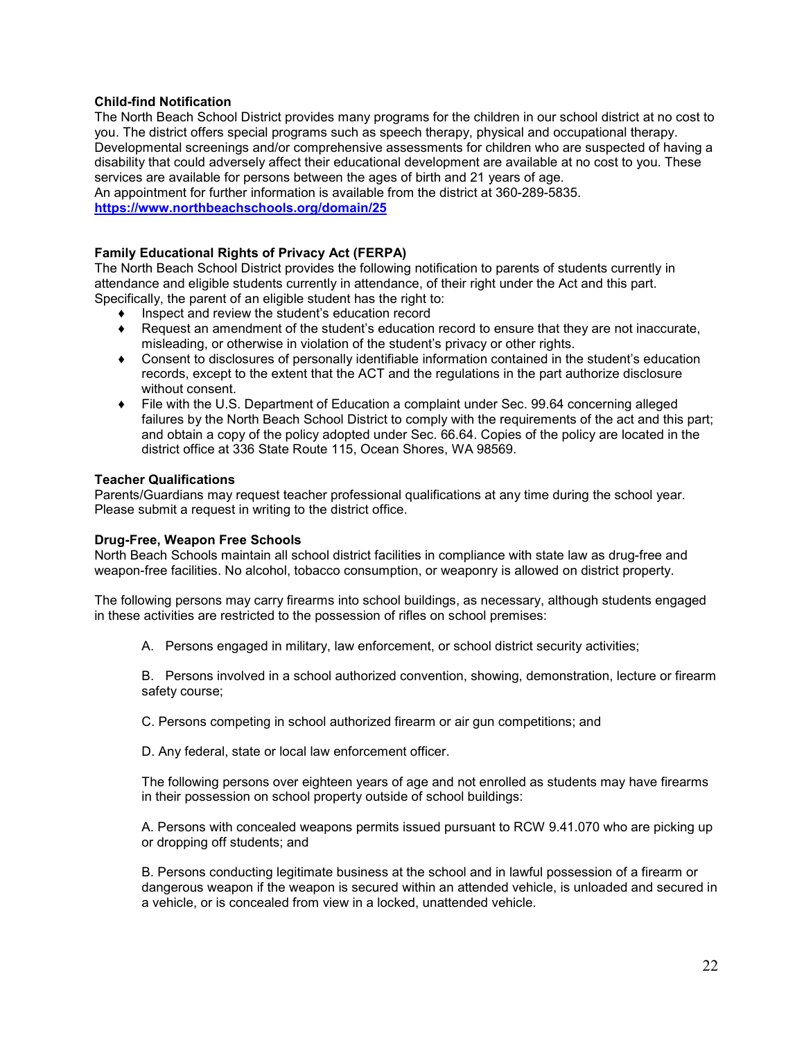#### **Child-find Notification**

The North Beach School District provides many programs for the children in our school district at no cost to you. The district offers special programs such as speech therapy, physical and occupational therapy. Developmental screenings and/or comprehensive assessments for children who are suspected of having a disability that could adversely affect their educational development are available at no cost to you. These services are available for persons between the ages of birth and 21 years of age.

An appointment for further information is available from the district at 360-289-5835. **[https://www.northbeachschools.org/domain/25](about:blank)**

#### **Family Educational Rights of Privacy Act (FERPA)**

The North Beach School District provides the following notification to parents of students currently in attendance and eligible students currently in attendance, of their right under the Act and this part. Specifically, the parent of an eligible student has the right to:

- Inspect and review the student's education record
- ♦ Request an amendment of the student's education record to ensure that they are not inaccurate, misleading, or otherwise in violation of the student's privacy or other rights.
- ♦ Consent to disclosures of personally identifiable information contained in the student's education records, except to the extent that the ACT and the regulations in the part authorize disclosure without consent.
- ♦ File with the U.S. Department of Education a complaint under Sec. 99.64 concerning alleged failures by the North Beach School District to comply with the requirements of the act and this part; and obtain a copy of the policy adopted under Sec. 66.64. Copies of the policy are located in the district office at 336 State Route 115, Ocean Shores, WA 98569.

#### **Teacher Qualifications**

Parents/Guardians may request teacher professional qualifications at any time during the school year. Please submit a request in writing to the district office.

#### **Drug-Free, Weapon Free Schools**

North Beach Schools maintain all school district facilities in compliance with state law as drug-free and weapon-free facilities. No alcohol, tobacco consumption, or weaponry is allowed on district property.

The following persons may carry firearms into school buildings, as necessary, although students engaged in these activities are restricted to the possession of rifles on school premises:

A. Persons engaged in military, law enforcement, or school district security activities;

B. Persons involved in a school authorized convention, showing, demonstration, lecture or firearm safety course;

C. Persons competing in school authorized firearm or air gun competitions; and

D. Any federal, state or local law enforcement officer.

The following persons over eighteen years of age and not enrolled as students may have firearms in their possession on school property outside of school buildings:

A. Persons with concealed weapons permits issued pursuant to RCW 9.41.070 who are picking up or dropping off students; and

B. Persons conducting legitimate business at the school and in lawful possession of a firearm or dangerous weapon if the weapon is secured within an attended vehicle, is unloaded and secured in a vehicle, or is concealed from view in a locked, unattended vehicle.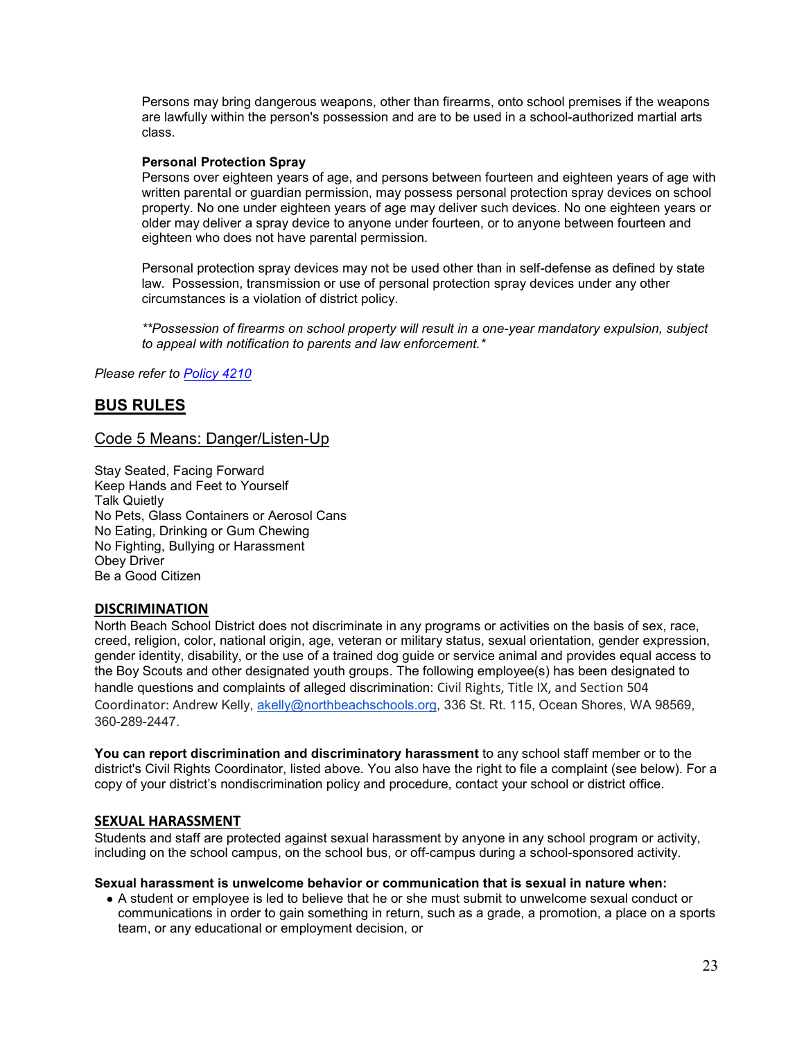Persons may bring dangerous weapons, other than firearms, onto school premises if the weapons are lawfully within the person's possession and are to be used in a school-authorized martial arts class.

#### **Personal Protection Spray**

Persons over eighteen years of age, and persons between fourteen and eighteen years of age with written parental or guardian permission, may possess personal protection spray devices on school property. No one under eighteen years of age may deliver such devices. No one eighteen years or older may deliver a spray device to anyone under fourteen, or to anyone between fourteen and eighteen who does not have parental permission.

Personal protection spray devices may not be used other than in self-defense as defined by state law. Possession, transmission or use of personal protection spray devices under any other circumstances is a violation of district policy.

*\*\*Possession of firearms on school property will result in a one-year mandatory expulsion, subject to appeal with notification to parents and law enforcement.\**

*Please refer to [Policy 4210](about:blank)*

# **BUS RULES**

# Code 5 Means: Danger/Listen-Up

Stay Seated, Facing Forward Keep Hands and Feet to Yourself Talk Quietly No Pets, Glass Containers or Aerosol Cans No Eating, Drinking or Gum Chewing No Fighting, Bullying or Harassment Obey Driver Be a Good Citizen

### **DISCRIMINATION**

North Beach School District does not discriminate in any programs or activities on the basis of sex, race, creed, religion, color, national origin, age, veteran or military status, sexual orientation, gender expression, gender identity, disability, or the use of a trained dog guide or service animal and provides equal access to the Boy Scouts and other designated youth groups. The following employee(s) has been designated to handle questions and complaints of alleged discrimination: Civil Rights, Title IX, and Section 504 Coordinator: Andrew Kelly, [akelly@northbeachschools.org,](about:blank) 336 St. Rt. 115, Ocean Shores, WA 98569, 360-289-2447.

**You can report discrimination and discriminatory harassment** to any school staff member or to the district's Civil Rights Coordinator, listed above. You also have the right to file a complaint (see below). For a copy of your district's nondiscrimination policy and procedure, contact your school or district office.

#### **SEXUAL HARASSMENT**

Students and staff are protected against sexual harassment by anyone in any school program or activity, including on the school campus, on the school bus, or off-campus during a school-sponsored activity.

#### **Sexual harassment is unwelcome behavior or communication that is sexual in nature when:**

● A student or employee is led to believe that he or she must submit to unwelcome sexual conduct or communications in order to gain something in return, such as a grade, a promotion, a place on a sports team, or any educational or employment decision, or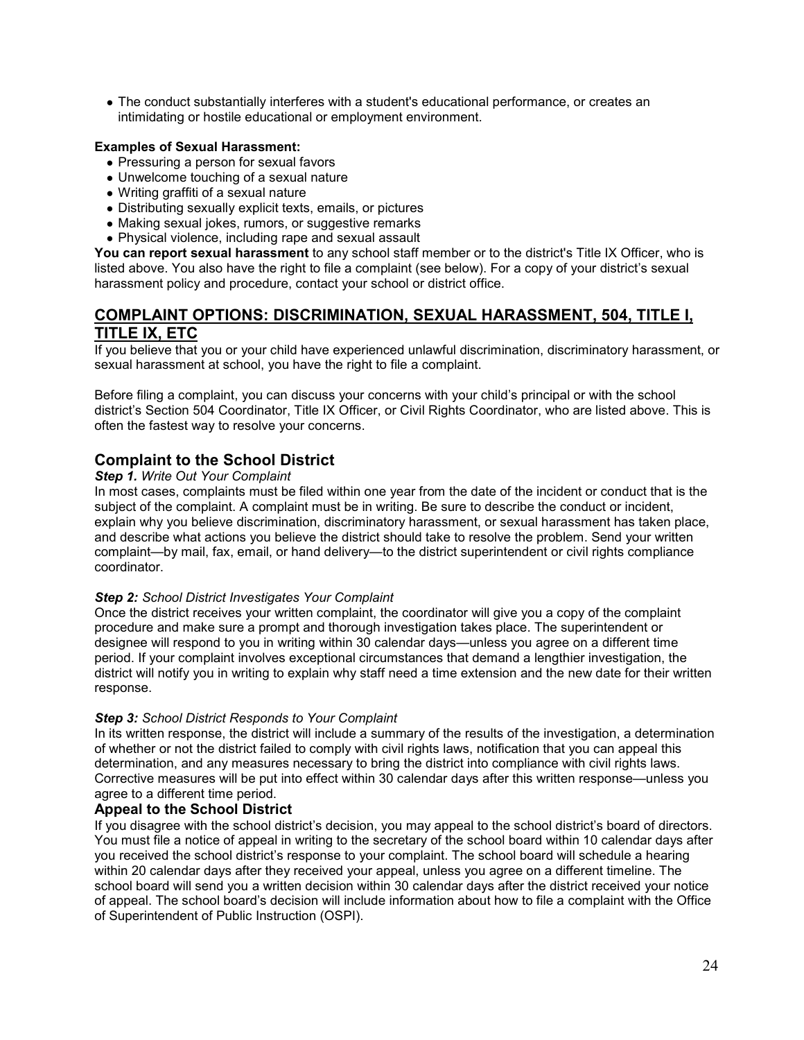• The conduct substantially interferes with a student's educational performance, or creates an intimidating or hostile educational or employment environment.

### **Examples of Sexual Harassment:**

- Pressuring a person for sexual favors
- Unwelcome touching of a sexual nature
- Writing graffiti of a sexual nature
- Distributing sexually explicit texts, emails, or pictures
- Making sexual jokes, rumors, or suggestive remarks
- Physical violence, including rape and sexual assault

**You can report sexual harassment** to any school staff member or to the district's Title IX Officer, who is listed above. You also have the right to file a complaint (see below). For a copy of your district's sexual harassment policy and procedure, contact your school or district office.

# **COMPLAINT OPTIONS: DISCRIMINATION, SEXUAL HARASSMENT, 504, TITLE I, TITLE IX, ETC**

If you believe that you or your child have experienced unlawful discrimination, discriminatory harassment, or sexual harassment at school, you have the right to file a complaint.

Before filing a complaint, you can discuss your concerns with your child's principal or with the school district's Section 504 Coordinator, Title IX Officer, or Civil Rights Coordinator, who are listed above. This is often the fastest way to resolve your concerns.

# **Complaint to the School District**

#### *Step 1. Write Out Your Complaint*

In most cases, complaints must be filed within one year from the date of the incident or conduct that is the subject of the complaint. A complaint must be in writing. Be sure to describe the conduct or incident, explain why you believe discrimination, discriminatory harassment, or sexual harassment has taken place, and describe what actions you believe the district should take to resolve the problem. Send your written complaint—by mail, fax, email, or hand delivery—to the district superintendent or civil rights compliance coordinator.

#### *Step 2: School District Investigates Your Complaint*

Once the district receives your written complaint, the coordinator will give you a copy of the complaint procedure and make sure a prompt and thorough investigation takes place. The superintendent or designee will respond to you in writing within 30 calendar days—unless you agree on a different time period. If your complaint involves exceptional circumstances that demand a lengthier investigation, the district will notify you in writing to explain why staff need a time extension and the new date for their written response.

#### *Step 3: School District Responds to Your Complaint*

In its written response, the district will include a summary of the results of the investigation, a determination of whether or not the district failed to comply with civil rights laws, notification that you can appeal this determination, and any measures necessary to bring the district into compliance with civil rights laws. Corrective measures will be put into effect within 30 calendar days after this written response—unless you agree to a different time period.

### **Appeal to the School District**

If you disagree with the school district's decision, you may appeal to the school district's board of directors. You must file a notice of appeal in writing to the secretary of the school board within 10 calendar days after you received the school district's response to your complaint. The school board will schedule a hearing within 20 calendar days after they received your appeal, unless you agree on a different timeline. The school board will send you a written decision within 30 calendar days after the district received your notice of appeal. The school board's decision will include information about how to file a complaint with the Office of Superintendent of Public Instruction (OSPI).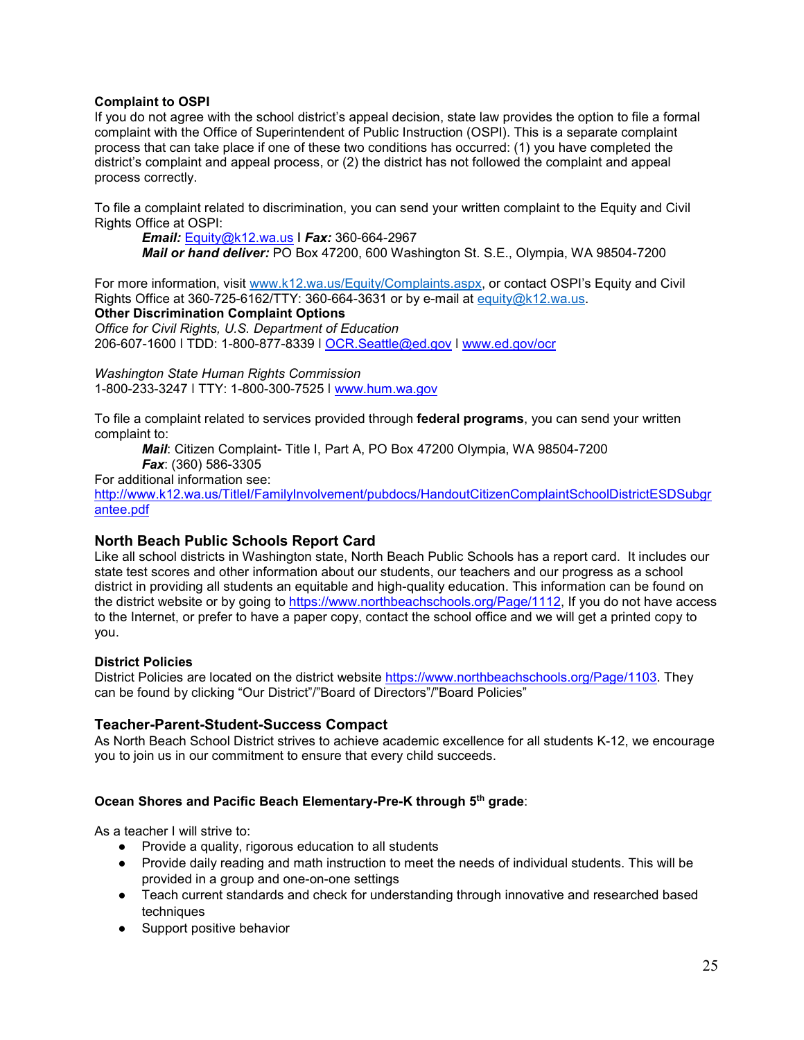#### **Complaint to OSPI**

If you do not agree with the school district's appeal decision, state law provides the option to file a formal complaint with the Office of Superintendent of Public Instruction (OSPI). This is a separate complaint process that can take place if one of these two conditions has occurred: (1) you have completed the district's complaint and appeal process, or (2) the district has not followed the complaint and appeal process correctly.

To file a complaint related to discrimination, you can send your written complaint to the Equity and Civil Rights Office at OSPI:

*Email:* [Equity@k12.wa.us](about:blank) **ǀ** *Fax:* 360-664-2967 *Mail or hand deliver:* PO Box 47200, 600 Washington St. S.E., Olympia, WA 98504-7200

For more information, visit [www.k12.wa.us/Equity/Complaints.aspx,](about:blank) or contact OSPI's Equity and Civil Rights Office at 360-725-6162/TTY: 360-664-3631 or by e-mail at equity $@k12.wa.us.$ **Other Discrimination Complaint Options** *Office for Civil Rights, U.S. Department of Education*  206-607-1600 ǀ TDD: 1-800-877-8339 ǀ [OCR.Seattle@ed.gov](about:blank) ǀ [www.ed.gov/ocr](about:blank) 

*Washington State Human Rights Commission*  1-800-233-3247 ǀ TTY: 1-800-300-7525 ǀ [www.hum.wa.gov](about:blank) 

To file a complaint related to services provided through **federal programs**, you can send your written complaint to:

*Mail*: Citizen Complaint- Title I, Part A, PO Box 47200 Olympia, WA 98504-7200 *Fax*: (360) 586-3305

For additional information see:

[http://www.k12.wa.us/TitleI/FamilyInvolvement/pubdocs/HandoutCitizenComplaintSchoolDistrictESDSubgr](about:blank) [antee.pdf](about:blank)

### **North Beach Public Schools Report Card**

Like all school districts in Washington state, North Beach Public Schools has a report card. It includes our state test scores and other information about our students, our teachers and our progress as a school district in providing all students an equitable and high-quality education. This information can be found on the district website or by going to [https://www.northbeachschools.org/Page/1112,](about:blank) If you do not have access to the Internet, or prefer to have a paper copy, contact the school office and we will get a printed copy to you.

### **District Policies**

District Policies are located on the district website [https://www.northbeachschools.org/Page/1103.](about:blank) They can be found by clicking "Our District"/"Board of Directors"/"Board Policies"

### **Teacher-Parent-Student-Success Compact**

As North Beach School District strives to achieve academic excellence for all students K-12, we encourage you to join us in our commitment to ensure that every child succeeds.

### **Ocean Shores and Pacific Beach Elementary-Pre-K through 5th grade**:

As a teacher I will strive to:

- Provide a quality, rigorous education to all students
- Provide daily reading and math instruction to meet the needs of individual students. This will be provided in a group and one-on-one settings
- Teach current standards and check for understanding through innovative and researched based techniques
- Support positive behavior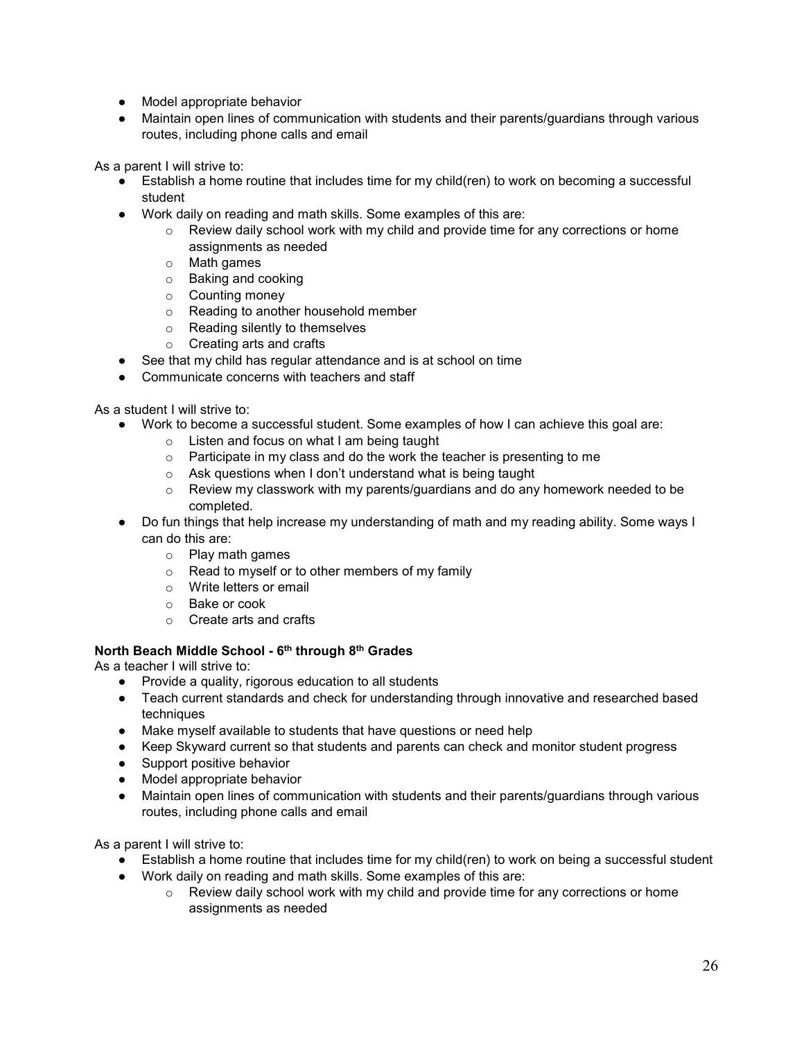- Model appropriate behavior
- Maintain open lines of communication with students and their parents/guardians through various routes, including phone calls and email

As a parent I will strive to:

- Establish a home routine that includes time for my child(ren) to work on becoming a successful student
- Work daily on reading and math skills. Some examples of this are:
	- $\circ$  Review daily school work with my child and provide time for any corrections or home assignments as needed
	- o Math games
	- o Baking and cooking
	- o Counting money
	- o Reading to another household member
	- o Reading silently to themselves
	- o Creating arts and crafts
- See that my child has regular attendance and is at school on time
- Communicate concerns with teachers and staff

As a student I will strive to:

- Work to become a successful student. Some examples of how I can achieve this goal are:
	- o Listen and focus on what I am being taught
	- $\circ$  Participate in my class and do the work the teacher is presenting to me
	- o Ask questions when I don't understand what is being taught
	- $\circ$  Review my classwork with my parents/guardians and do any homework needed to be completed.
- Do fun things that help increase my understanding of math and my reading ability. Some ways I can do this are:
	- o Play math games
	- o Read to myself or to other members of my family
	- o Write letters or email
	- o Bake or cook
	- o Create arts and crafts

### **North Beach Middle School - 6th through 8th Grades**

As a teacher I will strive to:

- Provide a quality, rigorous education to all students
- Teach current standards and check for understanding through innovative and researched based techniques
- Make myself available to students that have questions or need help
- Keep Skyward current so that students and parents can check and monitor student progress
- Support positive behavior
- Model appropriate behavior
- Maintain open lines of communication with students and their parents/guardians through various routes, including phone calls and email

As a parent I will strive to:

- Establish a home routine that includes time for my child(ren) to work on being a successful student
- Work daily on reading and math skills. Some examples of this are:
	- $\circ$  Review daily school work with my child and provide time for any corrections or home assignments as needed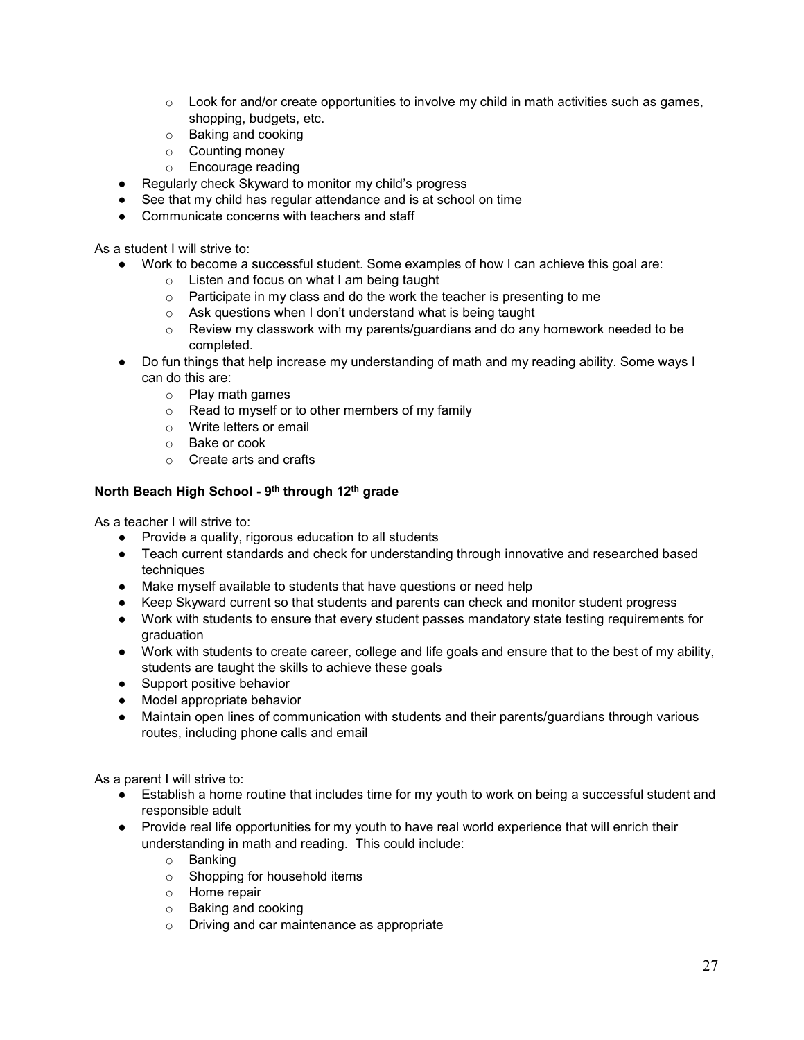- $\circ$  Look for and/or create opportunities to involve my child in math activities such as games, shopping, budgets, etc.
- o Baking and cooking
- o Counting money
- o Encourage reading
- Regularly check Skyward to monitor my child's progress
- See that my child has regular attendance and is at school on time
- Communicate concerns with teachers and staff

As a student I will strive to:

- Work to become a successful student. Some examples of how I can achieve this goal are:
	- o Listen and focus on what I am being taught
	- o Participate in my class and do the work the teacher is presenting to me
	- $\circ$  Ask questions when I don't understand what is being taught  $\circ$  Review my classwork with my parents/quardians and do anv
	- Review my classwork with my parents/guardians and do any homework needed to be completed.
- Do fun things that help increase my understanding of math and my reading ability. Some ways I can do this are:
	- o Play math games
	- o Read to myself or to other members of my family
	- o Write letters or email
	- o Bake or cook
	- o Create arts and crafts

# **North Beach High School - 9th through 12th grade**

As a teacher I will strive to:

- Provide a quality, rigorous education to all students
- Teach current standards and check for understanding through innovative and researched based techniques
- Make myself available to students that have questions or need help
- Keep Skyward current so that students and parents can check and monitor student progress
- Work with students to ensure that every student passes mandatory state testing requirements for graduation
- Work with students to create career, college and life goals and ensure that to the best of my ability, students are taught the skills to achieve these goals
- Support positive behavior
- Model appropriate behavior
- Maintain open lines of communication with students and their parents/guardians through various routes, including phone calls and email

As a parent I will strive to:

- Establish a home routine that includes time for my youth to work on being a successful student and responsible adult
- Provide real life opportunities for my youth to have real world experience that will enrich their understanding in math and reading. This could include:
	- o Banking
	- o Shopping for household items
	- o Home repair
	- o Baking and cooking
	- o Driving and car maintenance as appropriate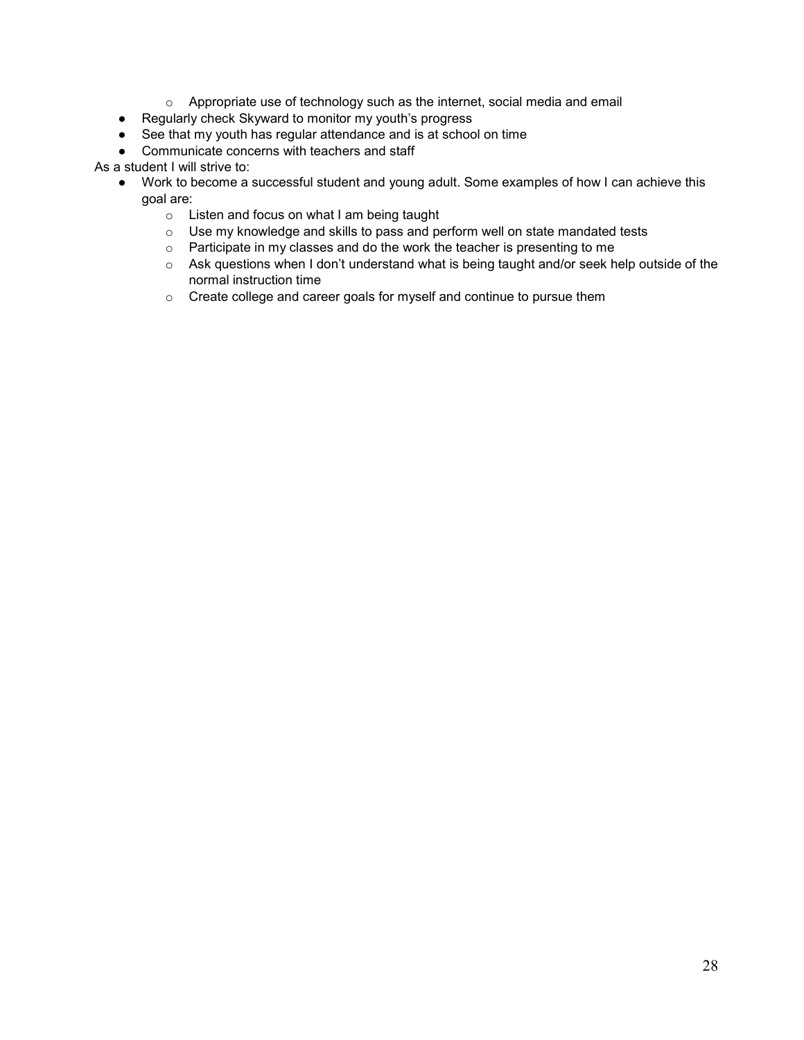- o Appropriate use of technology such as the internet, social media and email
- Regularly check Skyward to monitor my youth's progress
- See that my youth has regular attendance and is at school on time
- Communicate concerns with teachers and staff

As a student I will strive to:

- Work to become a successful student and young adult. Some examples of how I can achieve this goal are:
	- o Listen and focus on what I am being taught
	- o Use my knowledge and skills to pass and perform well on state mandated tests
	- o Participate in my classes and do the work the teacher is presenting to me
	- o Ask questions when I don't understand what is being taught and/or seek help outside of the normal instruction time
	- o Create college and career goals for myself and continue to pursue them